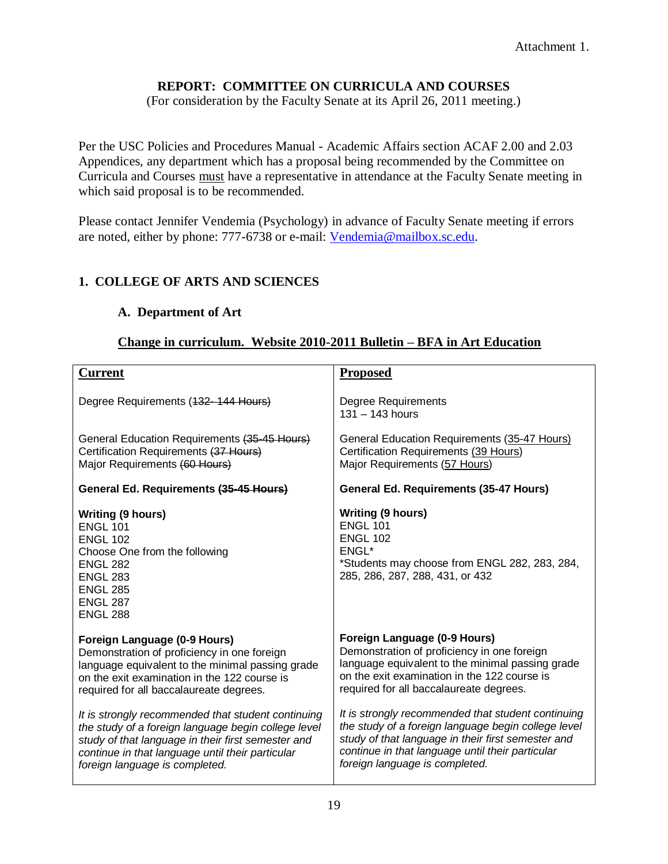### **REPORT: COMMITTEE ON CURRICULA AND COURSES**

(For consideration by the Faculty Senate at its April 26, 2011 meeting.)

Per the USC Policies and Procedures Manual - Academic Affairs section ACAF 2.00 and 2.03 Appendices, any department which has a proposal being recommended by the Committee on Curricula and Courses must have a representative in attendance at the Faculty Senate meeting in which said proposal is to be recommended.

Please contact Jennifer Vendemia (Psychology) in advance of Faculty Senate meeting if errors are noted, either by phone: 777-6738 or e-mail: [Vendemia@mailbox.sc.edu.](mailto:Vendemia@mailbox.sc.edu)

### **1. COLLEGE OF ARTS AND SCIENCES**

### **A. Department of Art**

### **Change in curriculum. Website 2010-2011 Bulletin – BFA in Art Education**

| <b>Current</b>                                                                                                                                                                                                                                        | <b>Proposed</b>                                                                                                                                                                                                                                       |
|-------------------------------------------------------------------------------------------------------------------------------------------------------------------------------------------------------------------------------------------------------|-------------------------------------------------------------------------------------------------------------------------------------------------------------------------------------------------------------------------------------------------------|
| Degree Requirements (432-144 Hours)                                                                                                                                                                                                                   | <b>Degree Requirements</b><br>$131 - 143$ hours                                                                                                                                                                                                       |
| General Education Requirements (35-45 Hours)<br>Certification Requirements (37 Hours)<br>Major Requirements (60 Hours)                                                                                                                                | General Education Requirements (35-47 Hours)<br>Certification Requirements (39 Hours)<br>Major Requirements (57 Hours)                                                                                                                                |
| General Ed. Requirements (35-45 Hours)                                                                                                                                                                                                                | <b>General Ed. Requirements (35-47 Hours)</b>                                                                                                                                                                                                         |
| <b>Writing (9 hours)</b><br><b>ENGL 101</b><br><b>ENGL 102</b><br>Choose One from the following<br><b>ENGL 282</b><br><b>ENGL 283</b><br><b>ENGL 285</b><br><b>ENGL 287</b><br><b>ENGL 288</b>                                                        | <b>Writing (9 hours)</b><br><b>ENGL 101</b><br><b>ENGL 102</b><br>ENGL*<br>*Students may choose from ENGL 282, 283, 284,<br>285, 286, 287, 288, 431, or 432                                                                                           |
| Foreign Language (0-9 Hours)<br>Demonstration of proficiency in one foreign<br>language equivalent to the minimal passing grade<br>on the exit examination in the 122 course is<br>required for all baccalaureate degrees.                            | Foreign Language (0-9 Hours)<br>Demonstration of proficiency in one foreign<br>language equivalent to the minimal passing grade<br>on the exit examination in the 122 course is<br>required for all baccalaureate degrees.                            |
| It is strongly recommended that student continuing<br>the study of a foreign language begin college level<br>study of that language in their first semester and<br>continue in that language until their particular<br>foreign language is completed. | It is strongly recommended that student continuing<br>the study of a foreign language begin college level<br>study of that language in their first semester and<br>continue in that language until their particular<br>foreign language is completed. |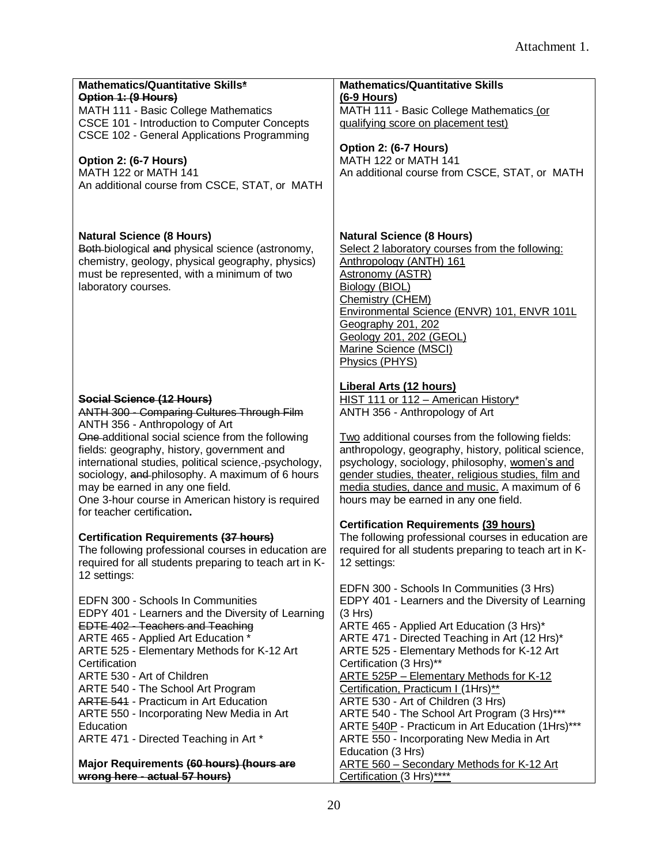| Mathematics/Quantitative Skills*<br>Option 1: (9 Hours)<br>MATH 111 - Basic College Mathematics<br>CSCE 101 - Introduction to Computer Concepts<br>CSCE 102 - General Applications Programming                                                                                                                                                                                                                                                                                                    | <b>Mathematics/Quantitative Skills</b><br>$(6-9$ Hours)<br>MATH 111 - Basic College Mathematics (or<br>qualifying score on placement test)<br>Option 2: (6-7 Hours)                                                                                                                                                                                                                                                                                                                                                                                                                                                         |
|---------------------------------------------------------------------------------------------------------------------------------------------------------------------------------------------------------------------------------------------------------------------------------------------------------------------------------------------------------------------------------------------------------------------------------------------------------------------------------------------------|-----------------------------------------------------------------------------------------------------------------------------------------------------------------------------------------------------------------------------------------------------------------------------------------------------------------------------------------------------------------------------------------------------------------------------------------------------------------------------------------------------------------------------------------------------------------------------------------------------------------------------|
| Option 2: (6-7 Hours)<br>MATH 122 or MATH 141<br>An additional course from CSCE, STAT, or MATH                                                                                                                                                                                                                                                                                                                                                                                                    | MATH 122 or MATH 141<br>An additional course from CSCE, STAT, or MATH                                                                                                                                                                                                                                                                                                                                                                                                                                                                                                                                                       |
| <b>Natural Science (8 Hours)</b><br>Both-biological and physical science (astronomy,<br>chemistry, geology, physical geography, physics)<br>must be represented, with a minimum of two<br>laboratory courses.                                                                                                                                                                                                                                                                                     | <b>Natural Science (8 Hours)</b><br>Select 2 laboratory courses from the following:<br>Anthropology (ANTH) 161<br><b>Astronomy (ASTR)</b><br>Biology (BIOL)<br>Chemistry (CHEM)<br>Environmental Science (ENVR) 101, ENVR 101L<br>Geography 201, 202<br>Geology 201, 202 (GEOL)<br>Marine Science (MSCI)<br>Physics (PHYS)                                                                                                                                                                                                                                                                                                  |
| Social Science (12 Hours)<br><b>ANTH 300 - Comparing Cultures Through Film</b><br>ANTH 356 - Anthropology of Art                                                                                                                                                                                                                                                                                                                                                                                  | <b>Liberal Arts (12 hours)</b><br>HIST 111 or 112 - American History*<br>ANTH 356 - Anthropology of Art                                                                                                                                                                                                                                                                                                                                                                                                                                                                                                                     |
| One additional social science from the following<br>fields: geography, history, government and<br>international studies, political science, psychology,<br>sociology, and philosophy. A maximum of 6 hours<br>may be earned in any one field.<br>One 3-hour course in American history is required<br>for teacher certification.                                                                                                                                                                  | Two additional courses from the following fields:<br>anthropology, geography, history, political science,<br>psychology, sociology, philosophy, women's and<br>gender studies, theater, religious studies, film and<br>media studies, dance and music. A maximum of 6<br>hours may be earned in any one field.                                                                                                                                                                                                                                                                                                              |
| Certification Requirements (37 hours)<br>The following professional courses in education are<br>required for all students preparing to teach art in K-<br>12 settings:                                                                                                                                                                                                                                                                                                                            | <b>Certification Requirements (39 hours)</b><br>The following professional courses in education are<br>required for all students preparing to teach art in K-<br>12 settings:                                                                                                                                                                                                                                                                                                                                                                                                                                               |
| EDFN 300 - Schools In Communities<br>EDPY 401 - Learners and the Diversity of Learning<br><b>EDTE 402 - Teachers and Teaching</b><br>ARTE 465 - Applied Art Education *<br>ARTE 525 - Elementary Methods for K-12 Art<br>Certification<br>ARTE 530 - Art of Children<br>ARTE 540 - The School Art Program<br>ARTE 541 - Practicum in Art Education<br>ARTE 550 - Incorporating New Media in Art<br>Education<br>ARTE 471 - Directed Teaching in Art *<br>Major Requirements (60 hours) (hours are | EDFN 300 - Schools In Communities (3 Hrs)<br>EDPY 401 - Learners and the Diversity of Learning<br>(3 Hrs)<br>ARTE 465 - Applied Art Education (3 Hrs)*<br>ARTE 471 - Directed Teaching in Art (12 Hrs)*<br>ARTE 525 - Elementary Methods for K-12 Art<br>Certification (3 Hrs)**<br>ARTE 525P - Elementary Methods for K-12<br>Certification, Practicum I (1Hrs)**<br>ARTE 530 - Art of Children (3 Hrs)<br>ARTE 540 - The School Art Program (3 Hrs)***<br>ARTE 540P - Practicum in Art Education (1Hrs)***<br>ARTE 550 - Incorporating New Media in Art<br>Education (3 Hrs)<br>ARTE 560 - Secondary Methods for K-12 Art |
| wrong here - actual 57 hours)                                                                                                                                                                                                                                                                                                                                                                                                                                                                     | Certification (3 Hrs)****                                                                                                                                                                                                                                                                                                                                                                                                                                                                                                                                                                                                   |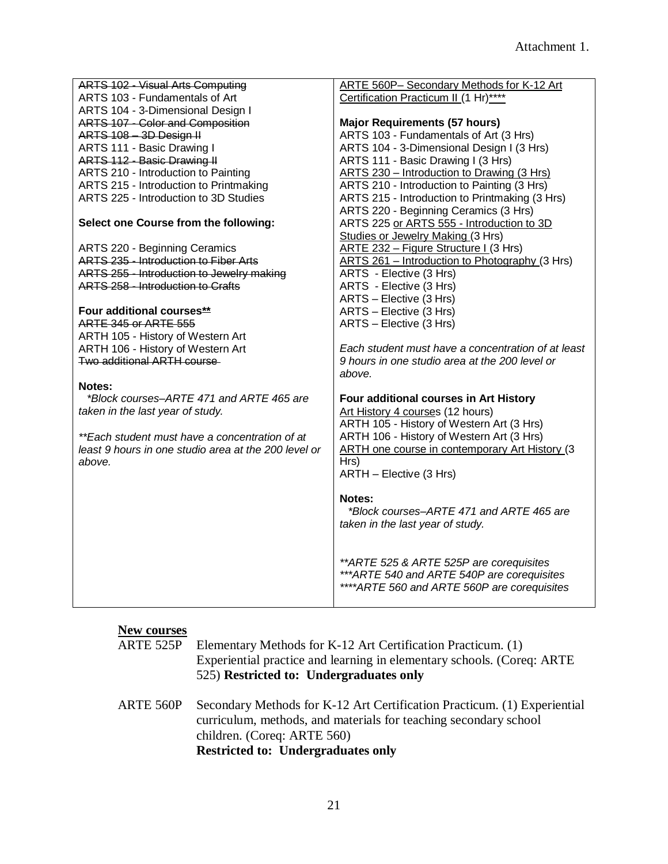| ARTS 102 - Visual Arts Computing                     | ARTE 560P- Secondary Methods for K-12 Art              |
|------------------------------------------------------|--------------------------------------------------------|
| ARTS 103 - Fundamentals of Art                       | Certification Practicum II (1 Hr)****                  |
| ARTS 104 - 3-Dimensional Design I                    |                                                        |
| <b>ARTS 107 - Color and Composition</b>              | <b>Major Requirements (57 hours)</b>                   |
| ARTS 108 3D Design II                                | ARTS 103 - Fundamentals of Art (3 Hrs)                 |
| ARTS 111 - Basic Drawing I                           | ARTS 104 - 3-Dimensional Design I (3 Hrs)              |
| ARTS 112 - Basic Drawing II                          | ARTS 111 - Basic Drawing I (3 Hrs)                     |
| ARTS 210 - Introduction to Painting                  | ARTS 230 – Introduction to Drawing (3 Hrs)             |
| ARTS 215 - Introduction to Printmaking               | ARTS 210 - Introduction to Painting (3 Hrs)            |
| ARTS 225 - Introduction to 3D Studies                | ARTS 215 - Introduction to Printmaking (3 Hrs)         |
|                                                      | ARTS 220 - Beginning Ceramics (3 Hrs)                  |
| Select one Course from the following:                | ARTS 225 or ARTS 555 - Introduction to 3D              |
|                                                      | Studies or Jewelry Making (3 Hrs)                      |
| ARTS 220 - Beginning Ceramics                        | ARTE 232 - Figure Structure I (3 Hrs)                  |
| ARTS 235 - Introduction to Fiber Arts                | ARTS 261 - Introduction to Photography (3 Hrs)         |
| ARTS 255 - Introduction to Jewelry making            | ARTS - Elective (3 Hrs)                                |
| <b>ARTS 258 - Introduction to Crafts</b>             | ARTS - Elective (3 Hrs)                                |
|                                                      | ARTS - Elective (3 Hrs)                                |
| Four additional courses**                            | ARTS - Elective (3 Hrs)                                |
| <b>ARTE 345 or ARTE 555</b>                          | ARTS - Elective (3 Hrs)                                |
| ARTH 105 - History of Western Art                    |                                                        |
| ARTH 106 - History of Western Art                    | Each student must have a concentration of at least     |
| <b>Two additional ARTH course</b>                    | 9 hours in one studio area at the 200 level or         |
|                                                      | above.                                                 |
| Notes:                                               |                                                        |
| *Block courses–ARTE 471 and ARTE 465 are             | Four additional courses in Art History                 |
| taken in the last year of study.                     | Art History 4 courses (12 hours)                       |
|                                                      | ARTH 105 - History of Western Art (3 Hrs)              |
| **Each student must have a concentration of at       | ARTH 106 - History of Western Art (3 Hrs)              |
| least 9 hours in one studio area at the 200 level or | <b>ARTH one course in contemporary Art History (3)</b> |
| above.                                               | Hrs)                                                   |
|                                                      | ARTH - Elective (3 Hrs)                                |
|                                                      |                                                        |
|                                                      | Notes:                                                 |
|                                                      | *Block courses-ARTE 471 and ARTE 465 are               |
|                                                      | taken in the last year of study.                       |
|                                                      |                                                        |
|                                                      |                                                        |
|                                                      | ** ARTE 525 & ARTE 525P are corequisites               |
|                                                      | *** ARTE 540 and ARTE 540P are corequisites            |
|                                                      | **** ARTE 560 and ARTE 560P are corequisites           |
|                                                      |                                                        |

### **New courses**

|           | 525) Restricted to: Undergraduates only                                |
|-----------|------------------------------------------------------------------------|
|           | Experiential practice and learning in elementary schools. (Coreq: ARTE |
| ARTE 525P | Elementary Methods for K-12 Art Certification Practicum. (1)           |

ARTE 560P Secondary Methods for K-12 Art Certification Practicum. (1) Experiential curriculum, methods, and materials for teaching secondary school children. (Coreq: ARTE 560) **Restricted to: Undergraduates only**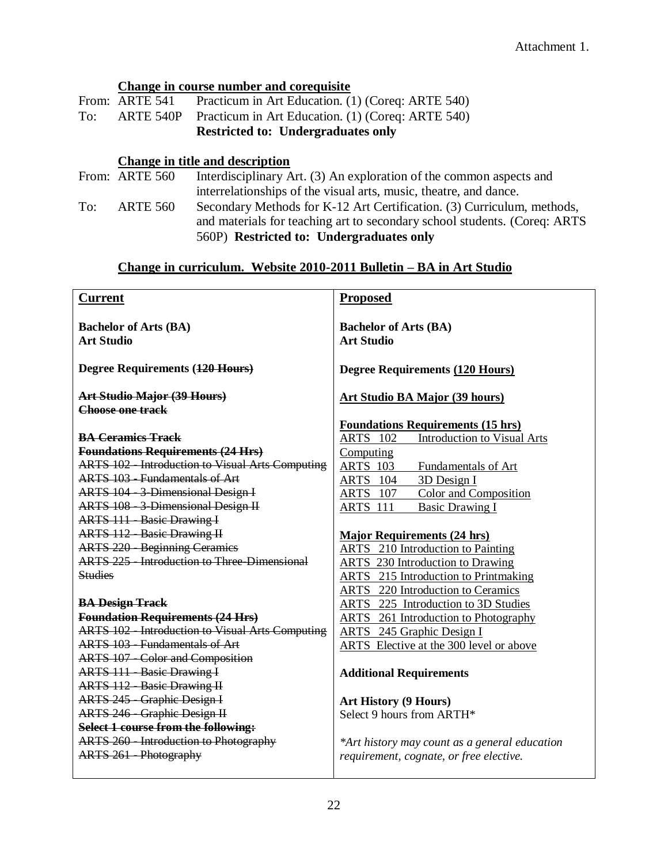### **Change in course number and corequisite**

|     |                | <b>Restricted to: Undergraduates only</b>                   |
|-----|----------------|-------------------------------------------------------------|
| To: |                | ARTE 540P Practicum in Art Education. (1) (Coreq: ARTE 540) |
|     | From: ARTE 541 | Practicum in Art Education. (1) (Coreq: ARTE 540)           |

### **Change in title and description**

|     | From: ARTE 560  | Interdisciplinary Art. (3) An exploration of the common aspects and       |
|-----|-----------------|---------------------------------------------------------------------------|
|     |                 | interrelationships of the visual arts, music, theatre, and dance.         |
| To: | <b>ARTE 560</b> | Secondary Methods for K-12 Art Certification. (3) Curriculum, methods,    |
|     |                 | and materials for teaching art to secondary school students. (Coreq: ARTS |
|     |                 | 560P) Restricted to: Undergraduates only                                  |

### **Change in curriculum. Website 2010-2011 Bulletin – BA in Art Studio**

| <b>Current</b>                                          | <b>Proposed</b>                                       |
|---------------------------------------------------------|-------------------------------------------------------|
| <b>Bachelor of Arts (BA)</b>                            | <b>Bachelor of Arts (BA)</b>                          |
| <b>Art Studio</b>                                       | <b>Art Studio</b>                                     |
|                                                         |                                                       |
| Degree Requirements (120 Hours)                         | <b>Degree Requirements (120 Hours)</b>                |
| Art Studio Major (39 Hours)                             | <b>Art Studio BA Major (39 hours)</b>                 |
| Choose one track                                        |                                                       |
|                                                         | <b>Foundations Requirements (15 hrs)</b>              |
| <b>BA Ceramics Track</b>                                | <b>ARTS</b> 102<br><b>Introduction to Visual Arts</b> |
| <b>Foundations Requirements (24 Hrs)</b>                | Computing                                             |
| <b>ARTS 102 - Introduction to Visual Arts Computing</b> | <b>ARTS</b> 103<br>Fundamentals of Art                |
| <b>ARTS 103 - Fundamentals of Art</b>                   | 3D Design I<br><b>ARTS</b> 104                        |
| ARTS 104 - 3-Dimensional Design I                       | <b>Color and Composition</b><br>ARTS 107              |
| <b>ARTS 108 - 3-Dimensional Design II</b>               | ARTS 111 Basic Drawing I                              |
| <b>ARTS 111 - Basic Drawing I</b>                       |                                                       |
| <b>ARTS 112 Basic Drawing II</b>                        | <b>Major Requirements (24 hrs)</b>                    |
| <b>ARTS 220 - Beginning Ceramics</b>                    | <b>ARTS</b> 210 Introduction to Painting              |
| <b>ARTS 225 - Introduction to Three-Dimensional</b>     | <b>ARTS</b> 230 Introduction to Drawing               |
| <b>Studies</b>                                          | <b>ARTS</b> 215 Introduction to Printmaking           |
|                                                         | <b>ARTS</b> 220 Introduction to Ceramics              |
| <b>BA Design Track</b>                                  | <b>ARTS</b> 225 Introduction to 3D Studies            |
| <b>Foundation Requirements (24 Hrs)</b>                 | <b>ARTS</b> 261 Introduction to Photography           |
| <b>ARTS 102 - Introduction to Visual Arts Computing</b> | <b>ARTS</b> 245 Graphic Design I                      |
| <b>ARTS 103 - Fundamentals of Art</b>                   | ARTS Elective at the 300 level or above               |
| <b>ARTS 107 - Color and Composition</b>                 |                                                       |
| <b>ARTS 111 - Basic Drawing I</b>                       | <b>Additional Requirements</b>                        |
| <b>ARTS 112 - Basic Drawing II</b>                      |                                                       |
| <b>ARTS 245 - Graphic Design I</b>                      | <b>Art History (9 Hours)</b>                          |
| <b>ARTS 246 - Graphic Design II</b>                     | Select 9 hours from ARTH*                             |
| Select 1 course from the following:                     |                                                       |
| <b>ARTS 260 - Introduction to Photography</b>           | *Art history may count as a general education         |
| <b>ARTS 261 - Photography</b>                           | requirement, cognate, or free elective.               |
|                                                         |                                                       |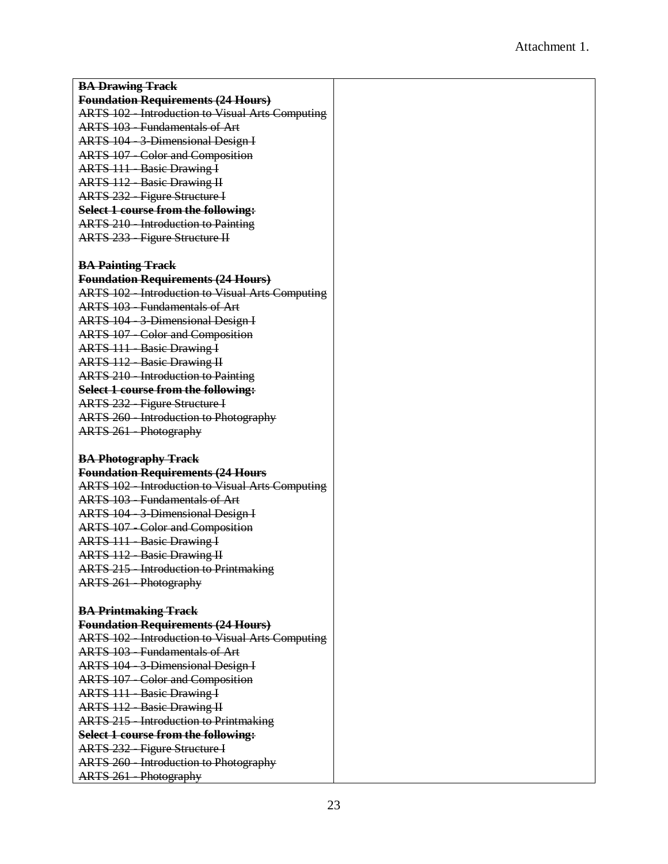| <b>BA Drawing Track</b>                                                               |  |
|---------------------------------------------------------------------------------------|--|
| <b>Foundation Requirements (24 Hours)</b>                                             |  |
| <b>ARTS 102 - Introduction to Visual Arts Computing</b>                               |  |
| <b>ARTS 103 - Fundamentals of Art</b>                                                 |  |
| <b>ARTS</b> 104 - 3 Dimensional Design I                                              |  |
| <b>ARTS 107 - Color and Composition</b>                                               |  |
| <b>ARTS 111 - Basic Drawing I</b>                                                     |  |
| <b>ARTS 112 - Basic Drawing II</b>                                                    |  |
| <b>ARTS 232 - Figure Structure I</b>                                                  |  |
| Select 1 course from the following:                                                   |  |
| <b>ARTS 210 - Introduction to Painting</b>                                            |  |
| <b>ARTS 233 - Figure Structure II</b>                                                 |  |
|                                                                                       |  |
| <b>BA Painting Track</b>                                                              |  |
| <b>Foundation Requirements (24 Hours)</b>                                             |  |
| <b>ARTS 102 - Introduction to Visual Arts Computing</b>                               |  |
| <b>ARTS 103 - Fundamentals of Art</b>                                                 |  |
| ARTS 104 - 3-Dimensional Design I                                                     |  |
| <b>ARTS 107 - Color and Composition</b>                                               |  |
| <b>ARTS 111 - Basic Drawing I</b>                                                     |  |
| <b>ARTS 112 - Basic Drawing II</b>                                                    |  |
| <b>ARTS 210 - Introduction to Painting</b>                                            |  |
| Select 1 course from the following:                                                   |  |
|                                                                                       |  |
| <b>ARTS 232 - Figure Structure I</b><br><b>ARTS 260 - Introduction to Photography</b> |  |
|                                                                                       |  |
| <b>ARTS 261 - Photography</b>                                                         |  |
| <b>BA Photography Track</b>                                                           |  |
| <b>Foundation Requirements (24 Hours</b>                                              |  |
| <b>ARTS 102 - Introduction to Visual Arts Computing</b>                               |  |
| <b>ARTS 103 - Fundamentals of Art</b>                                                 |  |
| <b>ARTS 104 - 3 Dimensional Design I</b>                                              |  |
|                                                                                       |  |
| <b>ARTS 107 - Color and Composition</b>                                               |  |
| <b>ARTS 111 - Basic Drawing I</b>                                                     |  |
| <b>ARTS 112 - Basic Drawing II</b>                                                    |  |
| <b>ARTS 215 - Introduction to Printmaking</b><br><b>ARTS 261 - Photography</b>        |  |
|                                                                                       |  |
|                                                                                       |  |
| <b>BA Printmaking Track</b><br><b>Foundation Requirements (24 Hours)</b>              |  |
| <b>ARTS 102 - Introduction to Visual Arts Computing</b>                               |  |
| <b>ARTS 103 - Fundamentals of Art</b>                                                 |  |
|                                                                                       |  |
| ARTS 104 - 3-Dimensional Design I                                                     |  |
| <b>ARTS 107 - Color and Composition</b>                                               |  |
| <b>ARTS 111 - Basic Drawing I</b>                                                     |  |
| <b>ARTS 112 - Basic Drawing II</b>                                                    |  |
| <b>ARTS 215 - Introduction to Printmaking</b>                                         |  |
| Select 1 course from the following:                                                   |  |
| <b>ARTS 232 - Figure Structure I</b>                                                  |  |
| <b>ARTS 260 - Introduction to Photography</b>                                         |  |
| <b>ARTS 261 - Photography</b>                                                         |  |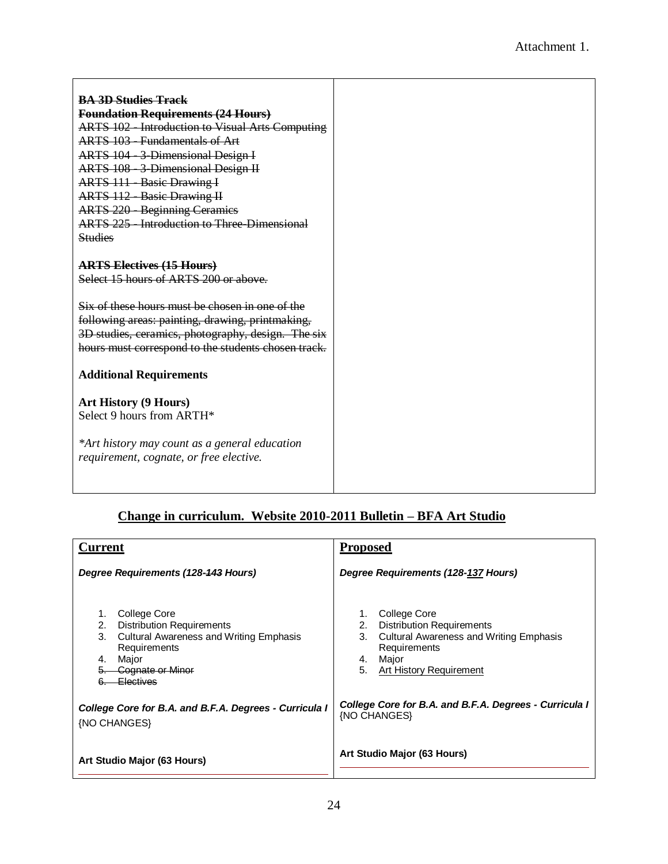| <b>BA 3D Studies Track</b>                              |
|---------------------------------------------------------|
| <b>Foundation Requirements (24 Hours)</b>               |
| <b>ARTS 102 - Introduction to Visual Arts Computing</b> |
| <b>ARTS 103 - Fundamentals of Art</b>                   |
| ARTS 104 - 3-Dimensional Design I                       |
| ARTS 108 - 3-Dimensional Design II                      |
| <b>ARTS 111 - Basic Drawing I</b>                       |
| <b>ARTS 112 - Basic Drawing II</b>                      |
| <b>ARTS 220 - Beginning Ceramics</b>                    |
| <b>ARTS 225 - Introduction to Three-Dimensional</b>     |
| <b>Studies</b>                                          |
|                                                         |
| <b>ARTS Electives (15 Hours)</b>                        |
| Select 15 hours of ARTS 200 or above.                   |
|                                                         |
| Six of these hours must be chosen in one of the         |
| following areas: painting, drawing, printmaking,        |
| 3D studies, ceramics, photography, design. The six      |
| hours must correspond to the students chosen track.     |
|                                                         |
| <b>Additional Requirements</b>                          |
|                                                         |
| <b>Art History (9 Hours)</b>                            |
| Select 9 hours from ARTH*                               |
|                                                         |
| *Art history may count as a general education           |
| requirement, cognate, or free elective.                 |
|                                                         |
|                                                         |

## **Change in curriculum. Website 2010-2011 Bulletin – BFA Art Studio**

| Current                                                                                                                                                                                     | <b>Proposed</b>                                                                                                                                                                      |
|---------------------------------------------------------------------------------------------------------------------------------------------------------------------------------------------|--------------------------------------------------------------------------------------------------------------------------------------------------------------------------------------|
| Degree Requirements (128-143 Hours)                                                                                                                                                         | Degree Requirements (128-137 Hours)                                                                                                                                                  |
| College Core<br>1.<br><b>Distribution Requirements</b><br>2.<br><b>Cultural Awareness and Writing Emphasis</b><br>3.<br>Requirements<br>Major<br>4.<br>Cognate or Minor<br><u>Electives</u> | College Core<br>1.<br><b>Distribution Requirements</b><br>2.<br>3.<br><b>Cultural Awareness and Writing Emphasis</b><br>Requirements<br>Major<br>4.<br>5.<br>Art History Requirement |
| College Core for B.A. and B.F.A. Degrees - Curricula I<br>{NO CHANGES}                                                                                                                      | College Core for B.A. and B.F.A. Degrees - Curricula I<br>{NO CHANGES}                                                                                                               |
| Art Studio Major (63 Hours)                                                                                                                                                                 | Art Studio Major (63 Hours)                                                                                                                                                          |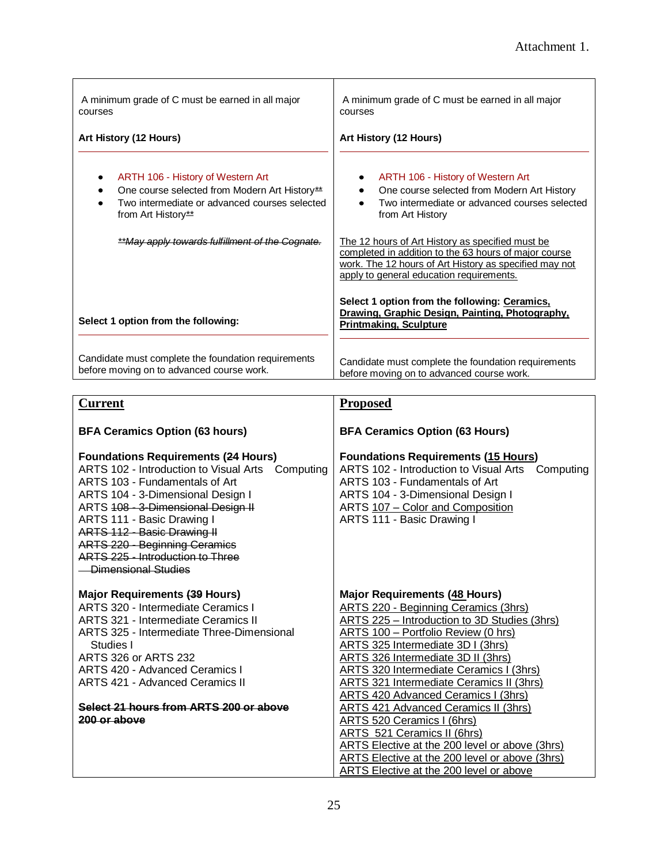| A minimum grade of C must be earned in all major<br>courses                                                                                                                                                                        | A minimum grade of C must be earned in all major<br>courses                                                                                                                                                                                                                                                                                                                           |
|------------------------------------------------------------------------------------------------------------------------------------------------------------------------------------------------------------------------------------|---------------------------------------------------------------------------------------------------------------------------------------------------------------------------------------------------------------------------------------------------------------------------------------------------------------------------------------------------------------------------------------|
| Art History (12 Hours)                                                                                                                                                                                                             | Art History (12 Hours)                                                                                                                                                                                                                                                                                                                                                                |
| ARTH 106 - History of Western Art<br>٠<br>One course selected from Modern Art History**<br>٠<br>Two intermediate or advanced courses selected<br>٠<br>from Art History**<br><b>**May apply towards fulfillment of the Cognate.</b> | ARTH 106 - History of Western Art<br>One course selected from Modern Art History<br>Two intermediate or advanced courses selected<br>$\bullet$<br>from Art History<br>The 12 hours of Art History as specified must be<br>completed in addition to the 63 hours of major course<br>work. The 12 hours of Art History as specified may not<br>apply to general education requirements. |
| Select 1 option from the following:                                                                                                                                                                                                | Select 1 option from the following: Ceramics,<br>Drawing, Graphic Design, Painting, Photography,<br><b>Printmaking, Sculpture</b>                                                                                                                                                                                                                                                     |
| Candidate must complete the foundation requirements<br>before moving on to advanced course work.                                                                                                                                   | Candidate must complete the foundation requirements<br>before moving on to advanced course work.                                                                                                                                                                                                                                                                                      |

| <b>Current</b>                                                                                                                                                                                                                                                                                                                                                              | <b>Proposed</b>                                                                                                                                                                                                                         |
|-----------------------------------------------------------------------------------------------------------------------------------------------------------------------------------------------------------------------------------------------------------------------------------------------------------------------------------------------------------------------------|-----------------------------------------------------------------------------------------------------------------------------------------------------------------------------------------------------------------------------------------|
| <b>BFA Ceramics Option (63 hours)</b>                                                                                                                                                                                                                                                                                                                                       | <b>BFA Ceramics Option (63 Hours)</b>                                                                                                                                                                                                   |
| <b>Foundations Requirements (24 Hours)</b><br>ARTS 102 - Introduction to Visual Arts Computing<br>ARTS 103 - Fundamentals of Art<br>ARTS 104 - 3-Dimensional Design I<br>ARTS 108 - 3-Dimensional Design II<br>ARTS 111 - Basic Drawing I<br>ARTS 112 - Basic Drawing II<br><b>ARTS 220 - Beginning Ceramics</b><br>ARTS 225 - Introduction to Three<br>Dimensional Studies | <b>Foundations Requirements (15 Hours)</b><br>ARTS 102 - Introduction to Visual Arts Computing<br>ARTS 103 - Fundamentals of Art<br>ARTS 104 - 3-Dimensional Design I<br>ARTS 107 - Color and Composition<br>ARTS 111 - Basic Drawing I |
| Major Requirements (39 Hours)                                                                                                                                                                                                                                                                                                                                               | <b>Major Requirements (48 Hours)</b>                                                                                                                                                                                                    |
| ARTS 320 - Intermediate Ceramics I                                                                                                                                                                                                                                                                                                                                          |                                                                                                                                                                                                                                         |
|                                                                                                                                                                                                                                                                                                                                                                             |                                                                                                                                                                                                                                         |
| <b>ARTS 321 - Intermediate Ceramics II</b>                                                                                                                                                                                                                                                                                                                                  | <b>ARTS 220 - Beginning Ceramics (3hrs)</b><br>ARTS 225 - Introduction to 3D Studies (3hrs)                                                                                                                                             |
| ARTS 325 - Intermediate Three-Dimensional                                                                                                                                                                                                                                                                                                                                   | ARTS 100 - Portfolio Review (0 hrs)                                                                                                                                                                                                     |
| Studies I                                                                                                                                                                                                                                                                                                                                                                   | ARTS 325 Intermediate 3D I (3hrs)                                                                                                                                                                                                       |
| <b>ARTS 326 or ARTS 232</b>                                                                                                                                                                                                                                                                                                                                                 | <b>ARTS 326 Intermediate 3D II (3hrs)</b>                                                                                                                                                                                               |
| <b>ARTS 420 - Advanced Ceramics I</b>                                                                                                                                                                                                                                                                                                                                       | ARTS 320 Intermediate Ceramics I (3hrs)                                                                                                                                                                                                 |
| <b>ARTS 421 - Advanced Ceramics II</b>                                                                                                                                                                                                                                                                                                                                      | <b>ARTS 321 Intermediate Ceramics II (3hrs)</b>                                                                                                                                                                                         |
|                                                                                                                                                                                                                                                                                                                                                                             | <b>ARTS 420 Advanced Ceramics I (3hrs)</b>                                                                                                                                                                                              |
| Select 21 hours from ARTS 200 or above                                                                                                                                                                                                                                                                                                                                      | ARTS 421 Advanced Ceramics II (3hrs)                                                                                                                                                                                                    |
| 200 or above                                                                                                                                                                                                                                                                                                                                                                | <b>ARTS 520 Ceramics I (6hrs)</b>                                                                                                                                                                                                       |
|                                                                                                                                                                                                                                                                                                                                                                             | <b>ARTS 521 Ceramics II (6hrs)</b>                                                                                                                                                                                                      |
|                                                                                                                                                                                                                                                                                                                                                                             | ARTS Elective at the 200 level or above (3hrs)<br>ARTS Elective at the 200 level or above (3hrs)                                                                                                                                        |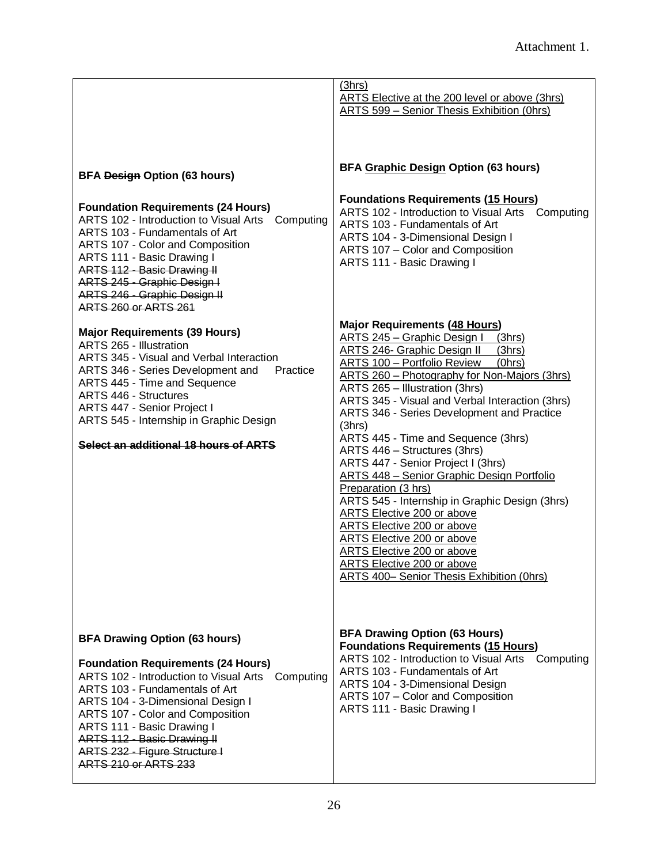|                                                                                                                                                                                                                                                                                                                                                                               | (3hrs)<br>ARTS Elective at the 200 level or above (3hrs)<br>ARTS 599 - Senior Thesis Exhibition (0hrs)                                                                                                                                                                                                                                                                                                                                                                                                                                                                                                                                                                                                                                                                                                                                 |  |
|-------------------------------------------------------------------------------------------------------------------------------------------------------------------------------------------------------------------------------------------------------------------------------------------------------------------------------------------------------------------------------|----------------------------------------------------------------------------------------------------------------------------------------------------------------------------------------------------------------------------------------------------------------------------------------------------------------------------------------------------------------------------------------------------------------------------------------------------------------------------------------------------------------------------------------------------------------------------------------------------------------------------------------------------------------------------------------------------------------------------------------------------------------------------------------------------------------------------------------|--|
| <b>BFA Design Option (63 hours)</b><br><b>Foundation Requirements (24 Hours)</b><br>ARTS 102 - Introduction to Visual Arts<br>Computing<br>ARTS 103 - Fundamentals of Art<br>ARTS 107 - Color and Composition<br>ARTS 111 - Basic Drawing I<br>ARTS 112 - Basic Drawing II<br>ARTS 245 - Graphic Design I<br>ARTS 246 - Graphic Design II<br><b>ARTS 260 or ARTS 261</b>      | <b>BFA Graphic Design Option (63 hours)</b><br><b>Foundations Requirements (15 Hours)</b><br>ARTS 102 - Introduction to Visual Arts Computing<br>ARTS 103 - Fundamentals of Art<br>ARTS 104 - 3-Dimensional Design I<br>ARTS 107 - Color and Composition<br>ARTS 111 - Basic Drawing I                                                                                                                                                                                                                                                                                                                                                                                                                                                                                                                                                 |  |
| <b>Major Requirements (39 Hours)</b><br><b>ARTS 265 - Illustration</b><br>ARTS 345 - Visual and Verbal Interaction<br>ARTS 346 - Series Development and<br>Practice<br>ARTS 445 - Time and Sequence<br><b>ARTS 446 - Structures</b><br>ARTS 447 - Senior Project I<br>ARTS 545 - Internship in Graphic Design<br>Select an additional 18 hours of ARTS                        | <b>Major Requirements (48 Hours)</b><br><b>ARTS 245 - Graphic Design I</b><br>(3hrs)<br><b>ARTS 246- Graphic Design II</b><br>(3hrs)<br>ARTS 100 - Portfolio Review<br>(0hrs)<br>ARTS 260 - Photography for Non-Majors (3hrs)<br>ARTS 265 - Illustration (3hrs)<br>ARTS 345 - Visual and Verbal Interaction (3hrs)<br>ARTS 346 - Series Development and Practice<br>(3hrs)<br>ARTS 445 - Time and Sequence (3hrs)<br>ARTS 446 - Structures (3hrs)<br>ARTS 447 - Senior Project I (3hrs)<br><b>ARTS 448 - Senior Graphic Design Portfolio</b><br>Preparation (3 hrs)<br>ARTS 545 - Internship in Graphic Design (3hrs)<br>ARTS Elective 200 or above<br>ARTS Elective 200 or above<br>ARTS Elective 200 or above<br><b>ARTS Elective 200 or above</b><br><b>ARTS Elective 200 or above</b><br>ARTS 400- Senior Thesis Exhibition (Ohrs) |  |
| <b>BFA Drawing Option (63 hours)</b><br><b>Foundation Requirements (24 Hours)</b><br>ARTS 102 - Introduction to Visual Arts Computing<br>ARTS 103 - Fundamentals of Art<br>ARTS 104 - 3-Dimensional Design I<br>ARTS 107 - Color and Composition<br>ARTS 111 - Basic Drawing I<br>ARTS 112 - Basic Drawing II<br>ARTS 232 - Figure Structure I<br><b>ARTS 210 or ARTS 233</b> | <b>BFA Drawing Option (63 Hours)</b><br><b>Foundations Requirements (15 Hours)</b><br>ARTS 102 - Introduction to Visual Arts<br>Computing<br>ARTS 103 - Fundamentals of Art<br>ARTS 104 - 3-Dimensional Design<br>ARTS 107 - Color and Composition<br>ARTS 111 - Basic Drawing I                                                                                                                                                                                                                                                                                                                                                                                                                                                                                                                                                       |  |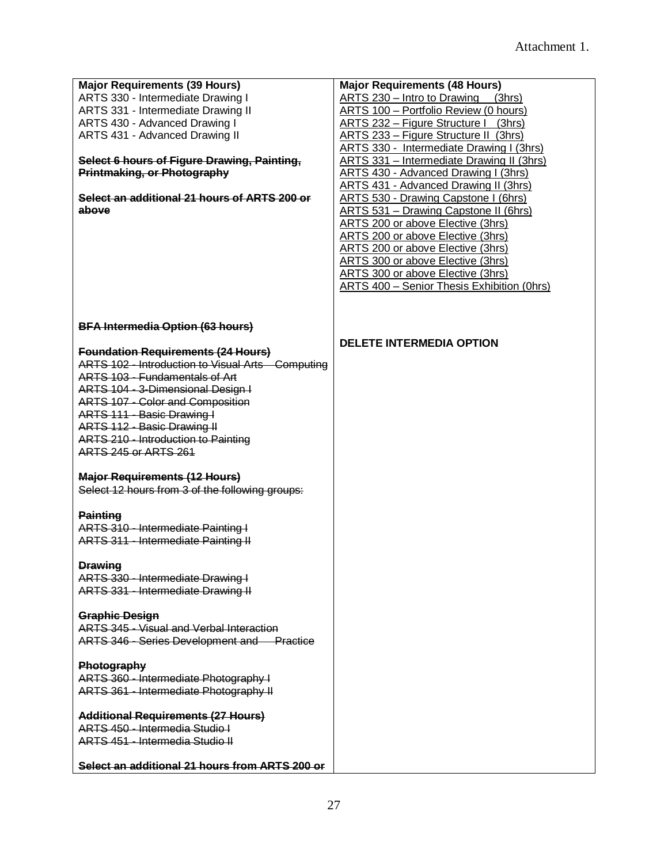| <b>Major Requirements (39 Hours)</b>              | <b>Major Requirements (48 Hours)</b>         |
|---------------------------------------------------|----------------------------------------------|
|                                                   |                                              |
| ARTS 330 - Intermediate Drawing I                 | ARTS 230 - Intro to Drawing (3hrs)           |
| ARTS 331 - Intermediate Drawing II                | ARTS 100 - Portfolio Review (0 hours)        |
| ARTS 430 - Advanced Drawing I                     | ARTS 232 – Figure Structure I (3hrs)         |
| ARTS 431 - Advanced Drawing II                    | <b>ARTS 233 – Figure Structure II (3hrs)</b> |
|                                                   | ARTS 330 - Intermediate Drawing I (3hrs)     |
| Select 6 hours of Figure Drawing, Painting,       | ARTS 331 - Intermediate Drawing II (3hrs)    |
|                                                   |                                              |
| Printmaking, or Photography                       | ARTS 430 - Advanced Drawing I (3hrs)         |
|                                                   | <b>ARTS 431 - Advanced Drawing II (3hrs)</b> |
| Select an additional 21 hours of ARTS 200 or      | <b>ARTS 530 - Drawing Capstone I (6hrs)</b>  |
| above                                             | ARTS 531 - Drawing Capstone II (6hrs)        |
|                                                   | ARTS 200 or above Elective (3hrs)            |
|                                                   |                                              |
|                                                   | ARTS 200 or above Elective (3hrs)            |
|                                                   | <b>ARTS 200 or above Elective (3hrs)</b>     |
|                                                   | ARTS 300 or above Elective (3hrs)            |
|                                                   | ARTS 300 or above Elective (3hrs)            |
|                                                   | ARTS 400 - Senior Thesis Exhibition (Ohrs)   |
|                                                   |                                              |
|                                                   |                                              |
|                                                   |                                              |
| <b>BFA Intermedia Option (63 hours)</b>           |                                              |
|                                                   |                                              |
|                                                   | <b>DELETE INTERMEDIA OPTION</b>              |
| <b>Foundation Requirements (24 Hours)</b>         |                                              |
| ARTS 102 - Introduction to Visual Arts Computing  |                                              |
| ARTS 103 - Fundamentals of Art                    |                                              |
| ARTS 104 - 3-Dimensional Design I                 |                                              |
| <b>ARTS 107 - Color and Composition</b>           |                                              |
|                                                   |                                              |
| ARTS 111 - Basic Drawing I                        |                                              |
| ARTS 112 - Basic Drawing II                       |                                              |
| ARTS 210 - Introduction to Painting               |                                              |
| <b>ARTS 245 or ARTS 261</b>                       |                                              |
|                                                   |                                              |
| <b>Major Requirements (12 Hours)</b>              |                                              |
|                                                   |                                              |
| Select 12 hours from 3 of the following groups:   |                                              |
|                                                   |                                              |
| <b>Painting</b>                                   |                                              |
| ARTS 310 - Intermediate Painting I                |                                              |
|                                                   |                                              |
| ARTS 311 - Intermediate Painting II               |                                              |
|                                                   |                                              |
| <b>Drawing</b>                                    |                                              |
| ARTS 330 - Intermediate Drawing I                 |                                              |
| ARTS 331 - Intermediate Drawing II                |                                              |
|                                                   |                                              |
|                                                   |                                              |
| <b>Graphic Design</b>                             |                                              |
| <b>ARTS 345 - Visual and Verbal Interaction</b>   |                                              |
| <b>ARTS 346 - Series Development and Practice</b> |                                              |
|                                                   |                                              |
| Photography                                       |                                              |
|                                                   |                                              |
| ARTS 360 - Intermediate Photography I             |                                              |
| ARTS 361 - Intermediate Photography II            |                                              |
|                                                   |                                              |
| <b>Additional Requirements (27 Hours)</b>         |                                              |
| ARTS 450 - Intermedia Studio I                    |                                              |
| ARTS 451 - Intermedia Studio II                   |                                              |
|                                                   |                                              |
|                                                   |                                              |
| Select an additional 21 hours from ARTS 200 or    |                                              |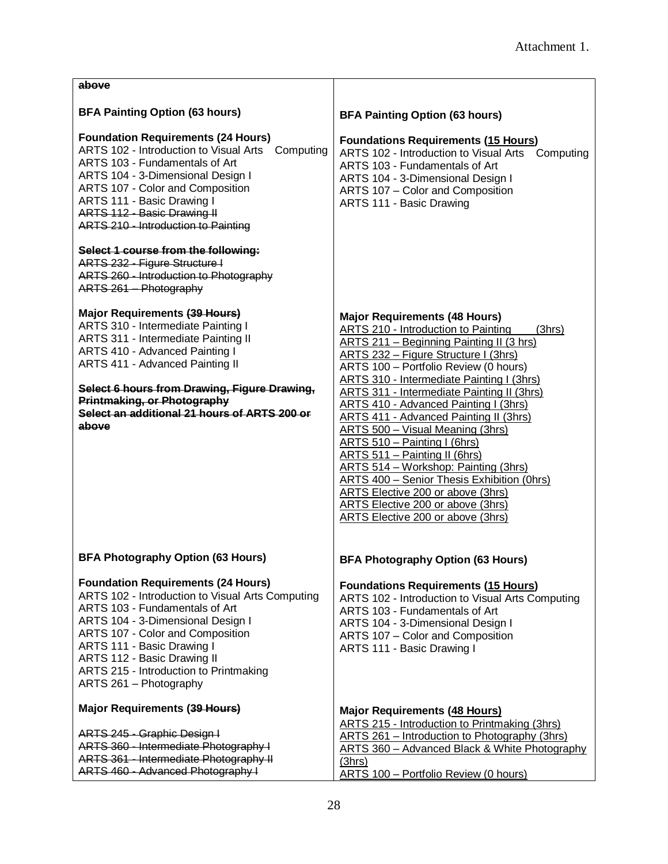| above                                                                                                                                                                                                                                                                                                                                     |                                                                                                                                                                                                                                                                                                                                                                                                                                                                                                                                                                                                                                                                                                                                                      |
|-------------------------------------------------------------------------------------------------------------------------------------------------------------------------------------------------------------------------------------------------------------------------------------------------------------------------------------------|------------------------------------------------------------------------------------------------------------------------------------------------------------------------------------------------------------------------------------------------------------------------------------------------------------------------------------------------------------------------------------------------------------------------------------------------------------------------------------------------------------------------------------------------------------------------------------------------------------------------------------------------------------------------------------------------------------------------------------------------------|
| <b>BFA Painting Option (63 hours)</b>                                                                                                                                                                                                                                                                                                     | <b>BFA Painting Option (63 hours)</b>                                                                                                                                                                                                                                                                                                                                                                                                                                                                                                                                                                                                                                                                                                                |
| <b>Foundation Requirements (24 Hours)</b><br>ARTS 102 - Introduction to Visual Arts Computing<br>ARTS 103 - Fundamentals of Art<br>ARTS 104 - 3-Dimensional Design I<br>ARTS 107 - Color and Composition<br>ARTS 111 - Basic Drawing I<br>ARTS 112 - Basic Drawing II<br><b>ARTS 210 - Introduction to Painting</b>                       | <b>Foundations Requirements (15 Hours)</b><br>ARTS 102 - Introduction to Visual Arts<br>Computing<br>ARTS 103 - Fundamentals of Art<br>ARTS 104 - 3-Dimensional Design I<br>ARTS 107 - Color and Composition<br>ARTS 111 - Basic Drawing                                                                                                                                                                                                                                                                                                                                                                                                                                                                                                             |
| Select 1 course from the following:<br>ARTS 232 - Figure Structure I<br>ARTS 260 - Introduction to Photography<br>ARTS 261 Photography                                                                                                                                                                                                    |                                                                                                                                                                                                                                                                                                                                                                                                                                                                                                                                                                                                                                                                                                                                                      |
| Major Requirements (39 Hours)<br>ARTS 310 - Intermediate Painting I<br><b>ARTS 311 - Intermediate Painting II</b><br>ARTS 410 - Advanced Painting I<br>ARTS 411 - Advanced Painting II<br>Select 6 hours from Drawing, Figure Drawing,<br>Printmaking, or Photography<br>Select an additional 21 hours of ARTS 200 or<br>above            | <b>Major Requirements (48 Hours)</b><br>ARTS 210 - Introduction to Painting<br>(3hrs)<br>ARTS 211 - Beginning Painting II (3 hrs)<br><b>ARTS 232 - Figure Structure I (3hrs)</b><br>ARTS 100 - Portfolio Review (0 hours)<br>ARTS 310 - Intermediate Painting I (3hrs)<br><b>ARTS 311 - Intermediate Painting II (3hrs)</b><br>ARTS 410 - Advanced Painting I (3hrs)<br><b>ARTS 411 - Advanced Painting II (3hrs)</b><br><b>ARTS 500 - Visual Meaning (3hrs)</b><br>ARTS 510 - Painting I (6hrs)<br>ARTS 511 - Painting II (6hrs)<br>ARTS 514 - Workshop: Painting (3hrs)<br><b>ARTS 400 - Senior Thesis Exhibition (Ohrs)</b><br>ARTS Elective 200 or above (3hrs)<br>ARTS Elective 200 or above (3hrs)<br><b>ARTS Elective 200 or above (3hrs)</b> |
| <b>BFA Photography Option (63 Hours)</b>                                                                                                                                                                                                                                                                                                  | <b>BFA Photography Option (63 Hours)</b>                                                                                                                                                                                                                                                                                                                                                                                                                                                                                                                                                                                                                                                                                                             |
| <b>Foundation Requirements (24 Hours)</b><br>ARTS 102 - Introduction to Visual Arts Computing<br>ARTS 103 - Fundamentals of Art<br>ARTS 104 - 3-Dimensional Design I<br>ARTS 107 - Color and Composition<br>ARTS 111 - Basic Drawing I<br>ARTS 112 - Basic Drawing II<br>ARTS 215 - Introduction to Printmaking<br>ARTS 261 - Photography | <b>Foundations Requirements (15 Hours)</b><br>ARTS 102 - Introduction to Visual Arts Computing<br>ARTS 103 - Fundamentals of Art<br>ARTS 104 - 3-Dimensional Design I<br>ARTS 107 - Color and Composition<br>ARTS 111 - Basic Drawing I                                                                                                                                                                                                                                                                                                                                                                                                                                                                                                              |
| <b>Major Requirements (39 Hours)</b>                                                                                                                                                                                                                                                                                                      | <b>Major Requirements (48 Hours)</b><br>ARTS 215 - Introduction to Printmaking (3hrs)                                                                                                                                                                                                                                                                                                                                                                                                                                                                                                                                                                                                                                                                |
| ARTS 245 - Graphic Design I<br>ARTS 360 - Intermediate Photography I<br>ARTS 361 - Intermediate Photography II<br>ARTS 460 - Advanced Photography I                                                                                                                                                                                       | ARTS 261 - Introduction to Photography (3hrs)<br>ARTS 360 - Advanced Black & White Photography<br>(3hrs)<br>ARTS 100 - Portfolio Review (0 hours)                                                                                                                                                                                                                                                                                                                                                                                                                                                                                                                                                                                                    |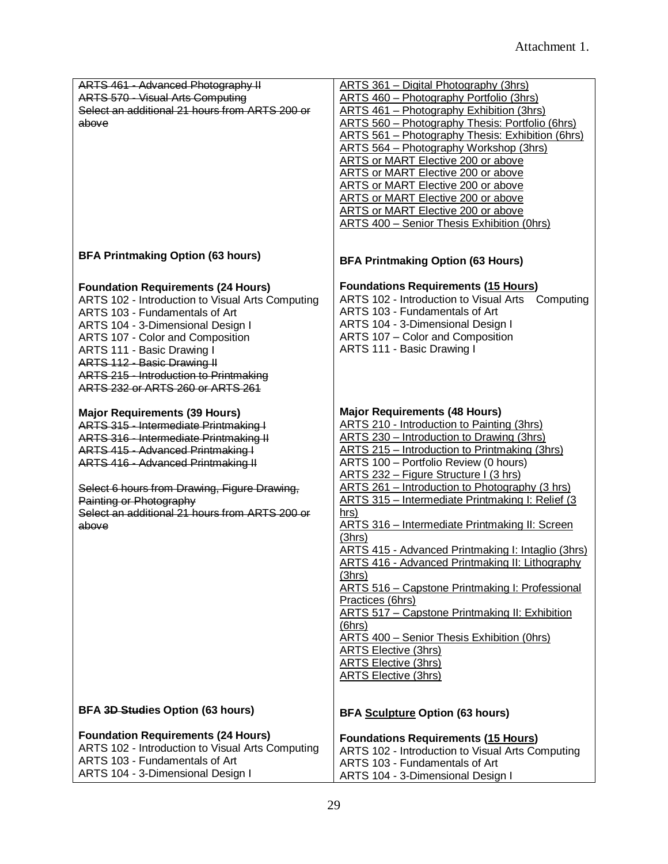| ARTS 461 - Advanced Photography II               | <b>ARTS 361 - Digital Photography (3hrs)</b>            |
|--------------------------------------------------|---------------------------------------------------------|
| <b>ARTS 570 - Visual Arts Computing</b>          | <b>ARTS 460 - Photography Portfolio (3hrs)</b>          |
| Select an additional 21 hours from ARTS 200 or   | ARTS 461 - Photography Exhibition (3hrs)                |
| above                                            | <b>ARTS 560 - Photography Thesis: Portfolio (6hrs)</b>  |
|                                                  | <b>ARTS 561 – Photography Thesis: Exhibition (6hrs)</b> |
|                                                  | ARTS 564 - Photography Workshop (3hrs)                  |
|                                                  | ARTS or MART Elective 200 or above                      |
|                                                  | <b>ARTS or MART Elective 200 or above</b>               |
|                                                  | <b>ARTS or MART Elective 200 or above</b>               |
|                                                  | ARTS or MART Elective 200 or above                      |
|                                                  | <b>ARTS or MART Elective 200 or above</b>               |
|                                                  | ARTS 400 - Senior Thesis Exhibition (0hrs)              |
|                                                  |                                                         |
| <b>BFA Printmaking Option (63 hours)</b>         |                                                         |
|                                                  | <b>BFA Printmaking Option (63 Hours)</b>                |
| <b>Foundation Requirements (24 Hours)</b>        | <b>Foundations Requirements (15 Hours)</b>              |
| ARTS 102 - Introduction to Visual Arts Computing | ARTS 102 - Introduction to Visual Arts<br>Computing     |
| ARTS 103 - Fundamentals of Art                   | ARTS 103 - Fundamentals of Art                          |
| ARTS 104 - 3-Dimensional Design I                | ARTS 104 - 3-Dimensional Design I                       |
| ARTS 107 - Color and Composition                 | ARTS 107 - Color and Composition                        |
| ARTS 111 - Basic Drawing I                       | ARTS 111 - Basic Drawing I                              |
| ARTS 112 - Basic Drawing II                      |                                                         |
| ARTS 215 - Introduction to Printmaking           |                                                         |
| ARTS 232 or ARTS 260 or ARTS 261                 |                                                         |
|                                                  |                                                         |
| <b>Major Requirements (39 Hours)</b>             | <b>Major Requirements (48 Hours)</b>                    |
| ARTS 315 - Intermediate Printmaking I            | ARTS 210 - Introduction to Painting (3hrs)              |
| <b>ARTS 316 - Intermediate Printmaking II</b>    | ARTS 230 - Introduction to Drawing (3hrs)               |
| ARTS 415 - Advanced Printmaking I                | ARTS 215 - Introduction to Printmaking (3hrs)           |
| <b>ARTS 416 - Advanced Printmaking II</b>        | ARTS 100 - Portfolio Review (0 hours)                   |
|                                                  | ARTS 232 - Figure Structure I (3 hrs)                   |
| Select 6 hours from Drawing, Figure Drawing,     | ARTS 261 - Introduction to Photography (3 hrs)          |
| Painting or Photography                          | ARTS 315 - Intermediate Printmaking I: Relief (3        |
| Select an additional 21 hours from ARTS 200 or   | hrs)                                                    |
| above                                            | ARTS 316 - Intermediate Printmaking II: Screen          |
|                                                  | (3hrs)                                                  |
|                                                  | ARTS 415 - Advanced Printmaking I: Intaglio (3hrs)      |
|                                                  | ARTS 416 - Advanced Printmaking II: Lithography         |
|                                                  | (3hrs)                                                  |
|                                                  | <b>ARTS 516 - Capstone Printmaking I: Professional</b>  |
|                                                  | Practices (6hrs)                                        |
|                                                  | ARTS 517 - Capstone Printmaking II: Exhibition          |
|                                                  | (6hrs)                                                  |
|                                                  | <b>ARTS 400 - Senior Thesis Exhibition (Ohrs)</b>       |
|                                                  | <b>ARTS Elective (3hrs)</b>                             |
|                                                  | <b>ARTS Elective (3hrs)</b>                             |
|                                                  | <b>ARTS Elective (3hrs)</b>                             |
|                                                  |                                                         |
|                                                  |                                                         |
| BFA 3D Studies Option (63 hours)                 | <b>BFA Sculpture Option (63 hours)</b>                  |
| <b>Foundation Requirements (24 Hours)</b>        | <b>Foundations Requirements (15 Hours)</b>              |
| ARTS 102 - Introduction to Visual Arts Computing | ARTS 102 - Introduction to Visual Arts Computing        |
| ARTS 103 - Fundamentals of Art                   | ARTS 103 - Fundamentals of Art                          |
| ARTS 104 - 3-Dimensional Design I                | ARTS 104 - 3-Dimensional Design I                       |
|                                                  |                                                         |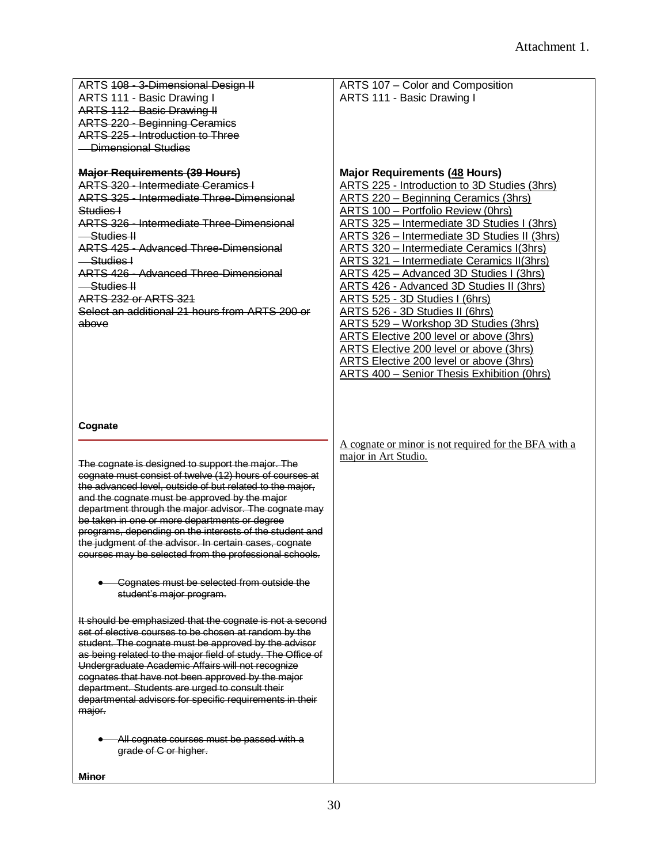| ARTS 108 - 3-Dimensional Design II<br>ARTS 111 - Basic Drawing I<br><b>ARTS 112 - Basic Drawing II</b><br><b>ARTS 220 - Beginning Ceramics</b>                                                                                                                                                                                                                                                                                                                                                                     | ARTS 107 - Color and Composition<br>ARTS 111 - Basic Drawing I                                                                                                                                                                                                                                                                                                                                                                                                                                                                                                                                                                                                                                                                                        |
|--------------------------------------------------------------------------------------------------------------------------------------------------------------------------------------------------------------------------------------------------------------------------------------------------------------------------------------------------------------------------------------------------------------------------------------------------------------------------------------------------------------------|-------------------------------------------------------------------------------------------------------------------------------------------------------------------------------------------------------------------------------------------------------------------------------------------------------------------------------------------------------------------------------------------------------------------------------------------------------------------------------------------------------------------------------------------------------------------------------------------------------------------------------------------------------------------------------------------------------------------------------------------------------|
| ARTS 225 - Introduction to Three<br><b>Dimensional Studies</b>                                                                                                                                                                                                                                                                                                                                                                                                                                                     |                                                                                                                                                                                                                                                                                                                                                                                                                                                                                                                                                                                                                                                                                                                                                       |
| <b>Major Requirements (39 Hours)</b><br><b>ARTS 320 - Intermediate Ceramics I</b><br><b>ARTS 325 - Intermediate Three-Dimensional</b><br>Studies I<br><b>ARTS 326 - Intermediate Three-Dimensional</b><br><del>Studies II</del><br><b>ARTS 425 - Advanced Three-Dimensional</b><br>-Studies I<br><b>ARTS 426 - Advanced Three-Dimensional</b><br>-Studies II<br><b>ARTS 232 or ARTS 321</b><br>Select an additional 21 hours from ARTS 200 or<br>above                                                             | <b>Major Requirements (48 Hours)</b><br>ARTS 225 - Introduction to 3D Studies (3hrs)<br><b>ARTS 220 - Beginning Ceramics (3hrs)</b><br>ARTS 100 - Portfolio Review (0hrs)<br>ARTS 325 - Intermediate 3D Studies I (3hrs)<br>ARTS 326 - Intermediate 3D Studies II (3hrs)<br>ARTS 320 - Intermediate Ceramics I(3hrs)<br>ARTS 321 - Intermediate Ceramics II(3hrs)<br>ARTS 425 - Advanced 3D Studies I (3hrs)<br>ARTS 426 - Advanced 3D Studies II (3hrs)<br>ARTS 525 - 3D Studies I (6hrs)<br>ARTS 526 - 3D Studies II (6hrs)<br>ARTS 529 - Workshop 3D Studies (3hrs)<br>ARTS Elective 200 level or above (3hrs)<br>ARTS Elective 200 level or above (3hrs)<br>ARTS Elective 200 level or above (3hrs)<br>ARTS 400 - Senior Thesis Exhibition (0hrs) |
| <b>Cognate</b>                                                                                                                                                                                                                                                                                                                                                                                                                                                                                                     |                                                                                                                                                                                                                                                                                                                                                                                                                                                                                                                                                                                                                                                                                                                                                       |
| The cognate is designed to support the major. The<br>cognate must consist of twelve (12) hours of courses at<br>the advanced level, outside of but related to the major,<br>and the cognate must be approved by the major<br>department through the major advisor. The cognate may<br>be taken in one or more departments or degree<br>programs, depending on the interests of the student and<br>the judgment of the advisor. In certain cases, cognate<br>courses may be selected from the professional schools. | A cognate or minor is not required for the BFA with a<br>major in Art Studio.                                                                                                                                                                                                                                                                                                                                                                                                                                                                                                                                                                                                                                                                         |
| Cognates must be selected from outside the<br>student's major program.                                                                                                                                                                                                                                                                                                                                                                                                                                             |                                                                                                                                                                                                                                                                                                                                                                                                                                                                                                                                                                                                                                                                                                                                                       |
| It should be emphasized that the cognate is not a second<br>set of elective courses to be chosen at random by the<br>student. The cognate must be approved by the advisor<br>as being related to the major field of study. The Office of<br>Undergraduate Academic Affairs will not recognize<br>cognates that have not been approved by the major<br>department. Students are urged to consult their<br>departmental advisors for specific requirements in their<br>major.                                        |                                                                                                                                                                                                                                                                                                                                                                                                                                                                                                                                                                                                                                                                                                                                                       |
| All cognate courses must be passed with a<br>grade of C or higher.                                                                                                                                                                                                                                                                                                                                                                                                                                                 |                                                                                                                                                                                                                                                                                                                                                                                                                                                                                                                                                                                                                                                                                                                                                       |
| <b>Minor</b>                                                                                                                                                                                                                                                                                                                                                                                                                                                                                                       |                                                                                                                                                                                                                                                                                                                                                                                                                                                                                                                                                                                                                                                                                                                                                       |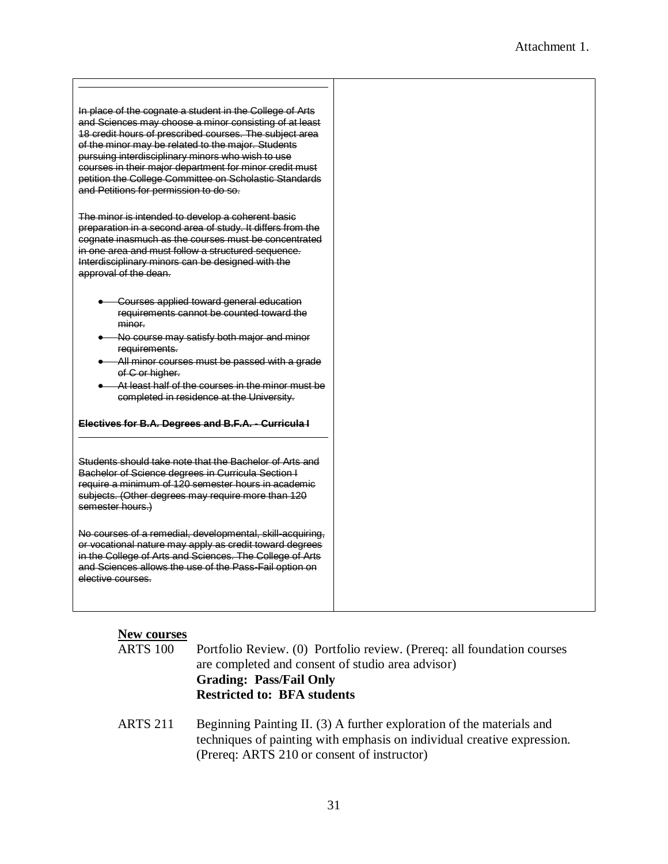### **New courses**

| <b>ARTS</b> 100 | Portfolio Review. (0) Portfolio review. (Prereq: all foundation courses<br>are completed and consent of studio area advisor)<br><b>Grading: Pass/Fail Only</b> |  |  |
|-----------------|----------------------------------------------------------------------------------------------------------------------------------------------------------------|--|--|
|                 |                                                                                                                                                                |  |  |
|                 |                                                                                                                                                                |  |  |
|                 | <b>Restricted to: BFA students</b>                                                                                                                             |  |  |
|                 |                                                                                                                                                                |  |  |

ARTS 211 Beginning Painting II. (3) A further exploration of the materials and techniques of painting with emphasis on individual creative expression. (Prereq: ARTS 210 or consent of instructor)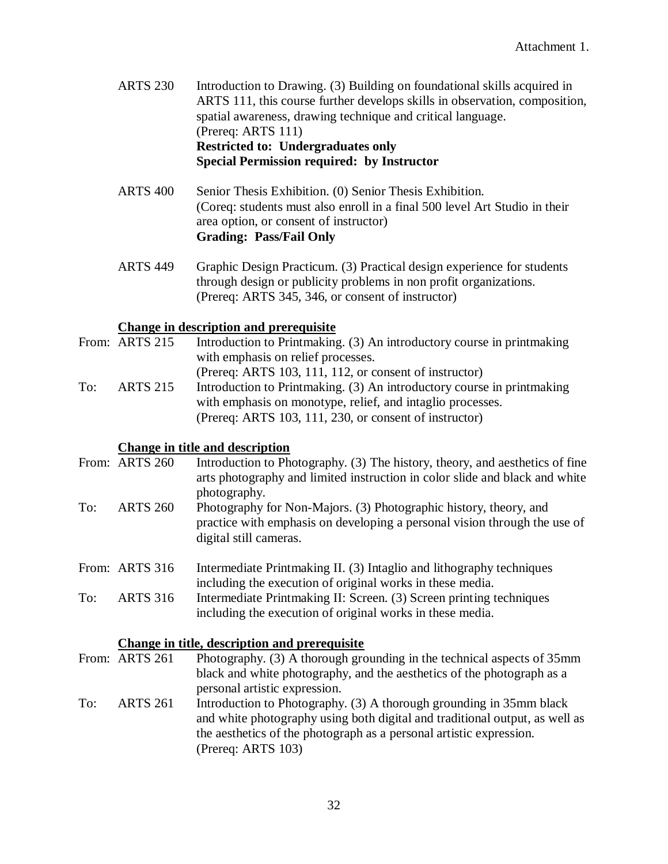- ARTS 230 Introduction to Drawing. (3) Building on foundational skills acquired in ARTS 111, this course further develops skills in observation, composition, spatial awareness, drawing technique and critical language. (Prereq: ARTS 111) **Restricted to: Undergraduates only Special Permission required: by Instructor**
- ARTS 400 Senior Thesis Exhibition. (0) Senior Thesis Exhibition. (Coreq: students must also enroll in a final 500 level Art Studio in their area option, or consent of instructor) **Grading: Pass/Fail Only**
- ARTS 449 Graphic Design Practicum. (3) Practical design experience for students through design or publicity problems in non profit organizations. (Prereq: ARTS 345, 346, or consent of instructor)

### **Change in description and prerequisite**

From: ARTS 215 Introduction to Printmaking. (3) An introductory course in printmaking with emphasis on relief processes. (Prereq: ARTS 103, 111, 112, or consent of instructor) To: ARTS 215 Introduction to Printmaking. (3) An introductory course in printmaking with emphasis on monotype, relief, and intaglio processes. (Prereq: ARTS 103, 111, 230, or consent of instructor)

### **Change in title and description**

- From: ARTS 260 Introduction to Photography. (3) The history, theory, and aesthetics of fine arts photography and limited instruction in color slide and black and white photography. To: ARTS 260 Photography for Non-Majors. (3) Photographic history, theory, and
	- practice with emphasis on developing a personal vision through the use of digital still cameras.
- From: ARTS 316 Intermediate Printmaking II. (3) Intaglio and lithography techniques including the execution of original works in these media. To: ARTS 316 Intermediate Printmaking II: Screen. (3) Screen printing techniques including the execution of original works in these media.

### **Change in title, description and prerequisite**

- From: ARTS 261 Photography. (3) A thorough grounding in the technical aspects of 35mm black and white photography, and the aesthetics of the photograph as a personal artistic expression.
- To: ARTS 261 Introduction to Photography. (3) A thorough grounding in 35mm black and white photography using both digital and traditional output, as well as the aesthetics of the photograph as a personal artistic expression. (Prereq: ARTS 103)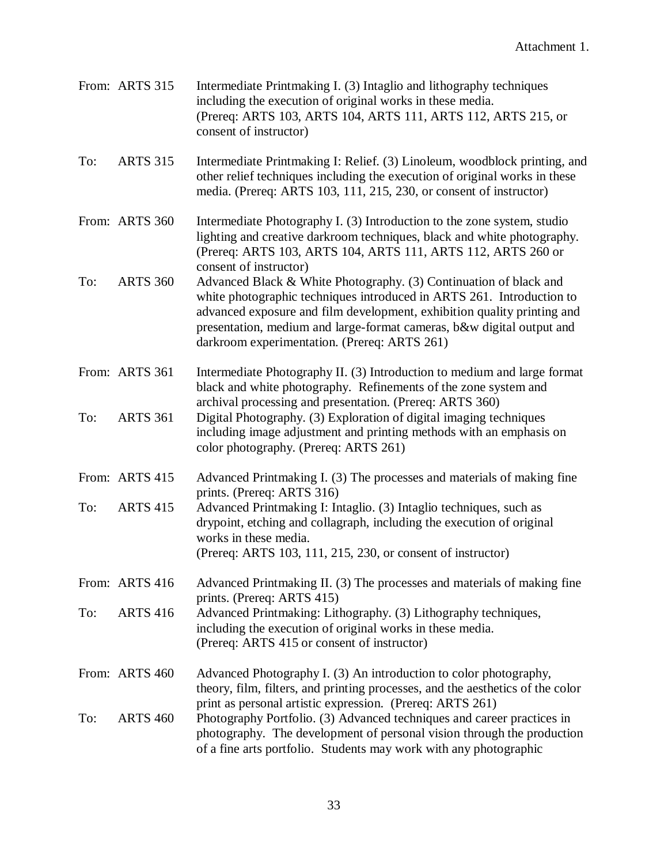|     | From: ARTS 315  | Intermediate Printmaking I. (3) Intaglio and lithography techniques<br>including the execution of original works in these media.<br>(Prereq: ARTS 103, ARTS 104, ARTS 111, ARTS 112, ARTS 215, or<br>consent of instructor)                                                                                                                    |
|-----|-----------------|------------------------------------------------------------------------------------------------------------------------------------------------------------------------------------------------------------------------------------------------------------------------------------------------------------------------------------------------|
| To: | <b>ARTS 315</b> | Intermediate Printmaking I: Relief. (3) Linoleum, woodblock printing, and<br>other relief techniques including the execution of original works in these<br>media. (Prereq: ARTS 103, 111, 215, 230, or consent of instructor)                                                                                                                  |
|     | From: ARTS 360  | Intermediate Photography I. (3) Introduction to the zone system, studio<br>lighting and creative darkroom techniques, black and white photography.<br>(Prereq: ARTS 103, ARTS 104, ARTS 111, ARTS 112, ARTS 260 or<br>consent of instructor)                                                                                                   |
| To: | <b>ARTS 360</b> | Advanced Black & White Photography. (3) Continuation of black and<br>white photographic techniques introduced in ARTS 261. Introduction to<br>advanced exposure and film development, exhibition quality printing and<br>presentation, medium and large-format cameras, b&w digital output and<br>darkroom experimentation. (Prereq: ARTS 261) |
|     | From: ARTS 361  | Intermediate Photography II. (3) Introduction to medium and large format<br>black and white photography. Refinements of the zone system and<br>archival processing and presentation. (Prereq: ARTS 360)                                                                                                                                        |
| To: | <b>ARTS 361</b> | Digital Photography. (3) Exploration of digital imaging techniques<br>including image adjustment and printing methods with an emphasis on<br>color photography. (Prereq: ARTS 261)                                                                                                                                                             |
|     | From: ARTS 415  | Advanced Printmaking I. (3) The processes and materials of making fine<br>prints. (Prereq: ARTS 316)                                                                                                                                                                                                                                           |
| To: | <b>ARTS 415</b> | Advanced Printmaking I: Intaglio. (3) Intaglio techniques, such as<br>drypoint, etching and collagraph, including the execution of original<br>works in these media.                                                                                                                                                                           |
|     |                 | (Prereq: ARTS 103, 111, 215, 230, or consent of instructor)                                                                                                                                                                                                                                                                                    |
|     | From: ARTS 416  | Advanced Printmaking II. (3) The processes and materials of making fine<br>prints. (Prereq: ARTS 415)                                                                                                                                                                                                                                          |
| To: | <b>ARTS 416</b> | Advanced Printmaking: Lithography. (3) Lithography techniques,<br>including the execution of original works in these media.<br>(Prereq: ARTS 415 or consent of instructor)                                                                                                                                                                     |
|     | From: ARTS 460  | Advanced Photography I. (3) An introduction to color photography,<br>theory, film, filters, and printing processes, and the aesthetics of the color                                                                                                                                                                                            |
| To: | <b>ARTS 460</b> | print as personal artistic expression. (Prereq: ARTS 261)<br>Photography Portfolio. (3) Advanced techniques and career practices in<br>photography. The development of personal vision through the production<br>of a fine arts portfolio. Students may work with any photographic                                                             |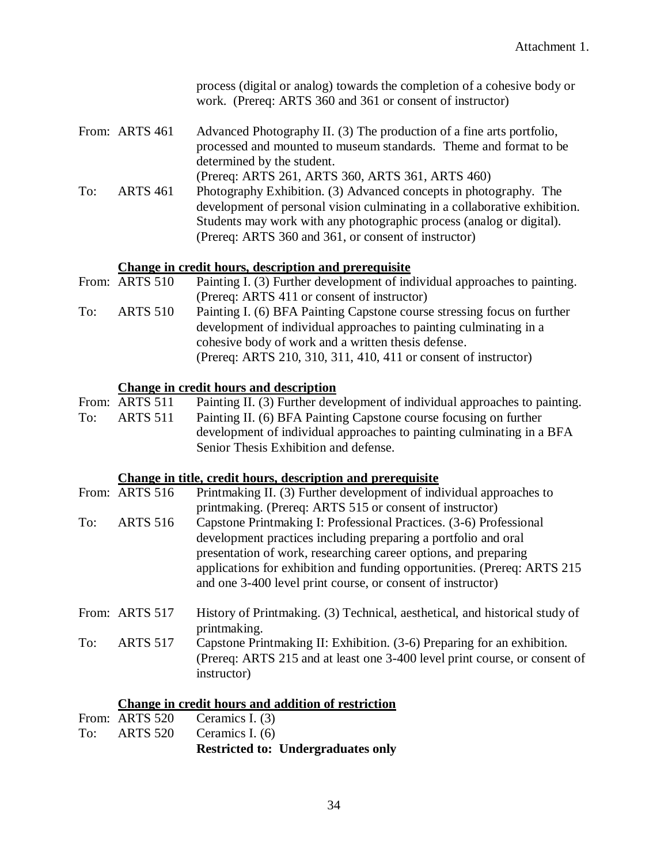|     |                 | process (digital or analog) towards the completion of a cohesive body or<br>work. (Prereq: ARTS 360 and 361 or consent of instructor)                                                                                                                                                                                                              |
|-----|-----------------|----------------------------------------------------------------------------------------------------------------------------------------------------------------------------------------------------------------------------------------------------------------------------------------------------------------------------------------------------|
|     | From: ARTS 461  | Advanced Photography II. (3) The production of a fine arts portfolio,<br>processed and mounted to museum standards. Theme and format to be<br>determined by the student.<br>(Prereq: ARTS 261, ARTS 360, ARTS 361, ARTS 460)                                                                                                                       |
| To: | <b>ARTS 461</b> | Photography Exhibition. (3) Advanced concepts in photography. The<br>development of personal vision culminating in a collaborative exhibition.<br>Students may work with any photographic process (analog or digital).<br>(Prereq: ARTS 360 and 361, or consent of instructor)                                                                     |
|     |                 | <b>Change in credit hours, description and prerequisite</b>                                                                                                                                                                                                                                                                                        |
|     | From: ARTS 510  | Painting I. (3) Further development of individual approaches to painting.<br>(Prereq: ARTS 411 or consent of instructor)                                                                                                                                                                                                                           |
| To: | <b>ARTS 510</b> | Painting I. (6) BFA Painting Capstone course stressing focus on further<br>development of individual approaches to painting culminating in a<br>cohesive body of work and a written thesis defense.                                                                                                                                                |
|     |                 | (Prereq: ARTS 210, 310, 311, 410, 411 or consent of instructor)                                                                                                                                                                                                                                                                                    |
|     |                 | <b>Change in credit hours and description</b>                                                                                                                                                                                                                                                                                                      |
|     | From: ARTS 511  | Painting II. (3) Further development of individual approaches to painting.                                                                                                                                                                                                                                                                         |
| To: | <b>ARTS 511</b> | Painting II. (6) BFA Painting Capstone course focusing on further<br>development of individual approaches to painting culminating in a BFA<br>Senior Thesis Exhibition and defense.                                                                                                                                                                |
|     |                 | Change in title, credit hours, description and prerequisite                                                                                                                                                                                                                                                                                        |
|     | From: ARTS 516  | Printmaking II. (3) Further development of individual approaches to<br>printmaking. (Prereq: ARTS 515 or consent of instructor)                                                                                                                                                                                                                    |
| To: | <b>ARTS 516</b> | Capstone Printmaking I: Professional Practices. (3-6) Professional<br>development practices including preparing a portfolio and oral<br>presentation of work, researching career options, and preparing<br>applications for exhibition and funding opportunities. (Prereq: ARTS 215<br>and one 3-400 level print course, or consent of instructor) |
|     | From: ARTS 517  | History of Printmaking. (3) Technical, aesthetical, and historical study of                                                                                                                                                                                                                                                                        |
| To: | <b>ARTS 517</b> | printmaking.<br>Capstone Printmaking II: Exhibition. (3-6) Preparing for an exhibition.<br>(Prereq: ARTS 215 and at least one 3-400 level print course, or consent of<br>instructor)                                                                                                                                                               |
|     |                 | <b>Change in credit hours and addition of restriction</b>                                                                                                                                                                                                                                                                                          |
|     | From: ARTS 520  | Ceramics I. (3)                                                                                                                                                                                                                                                                                                                                    |
|     |                 |                                                                                                                                                                                                                                                                                                                                                    |

To: ARTS 520 Ceramics I. (6) **Restricted to: Undergraduates only**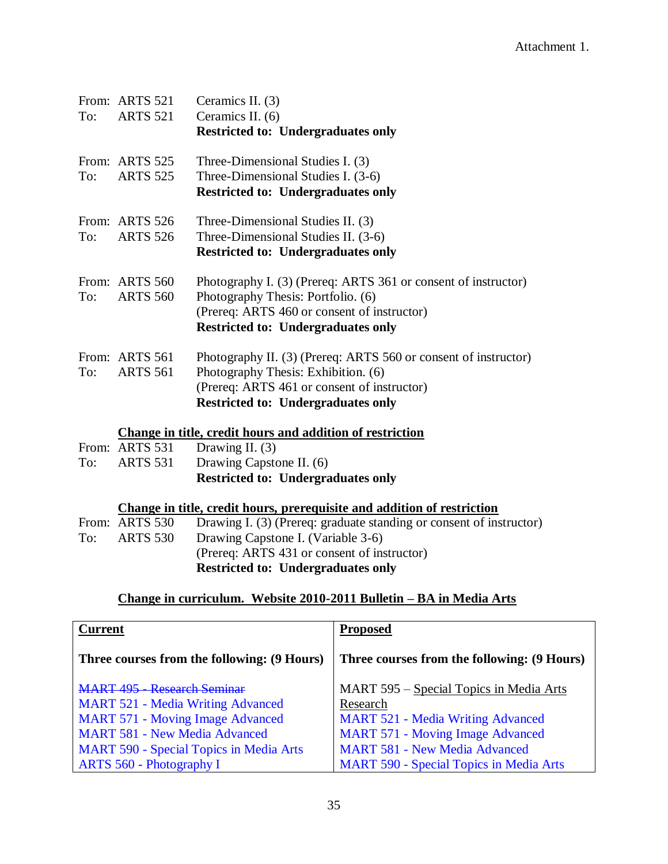|     | From: ARTS 521  | Ceramics II. (3)                                                        |
|-----|-----------------|-------------------------------------------------------------------------|
| To: | <b>ARTS 521</b> | Ceramics II. (6)                                                        |
|     |                 | <b>Restricted to: Undergraduates only</b>                               |
|     | From: ARTS 525  | Three-Dimensional Studies I. (3)                                        |
| To: | <b>ARTS 525</b> | Three-Dimensional Studies I. (3-6)                                      |
|     |                 | <b>Restricted to: Undergraduates only</b>                               |
|     | From: ARTS 526  | Three-Dimensional Studies II. (3)                                       |
| To: | <b>ARTS 526</b> | Three-Dimensional Studies II. (3-6)                                     |
|     |                 | <b>Restricted to: Undergraduates only</b>                               |
|     | From: ARTS 560  | Photography I. (3) (Prereq: ARTS 361 or consent of instructor)          |
| To: | <b>ARTS 560</b> | Photography Thesis: Portfolio. (6)                                      |
|     |                 | (Prereq: ARTS 460 or consent of instructor)                             |
|     |                 | <b>Restricted to: Undergraduates only</b>                               |
|     | From: ARTS 561  | Photography II. (3) (Prereq: ARTS 560 or consent of instructor)         |
| To: | <b>ARTS 561</b> | Photography Thesis: Exhibition. (6)                                     |
|     |                 | (Prereq: ARTS 461 or consent of instructor)                             |
|     |                 | <b>Restricted to: Undergraduates only</b>                               |
|     |                 | Change in title, credit hours and addition of restriction               |
|     | From: ARTS 531  | Drawing II. $(3)$                                                       |
| To: | ARTS 531        | Drawing Capstone II. (6)                                                |
|     |                 | <b>Restricted to: Undergraduates only</b>                               |
|     |                 | Change in title, credit hours, prerequisite and addition of restriction |

| From: ARTS 530  | Drawing I. (3) (Prereq: graduate standing or consent of instructor) |
|-----------------|---------------------------------------------------------------------|
| <b>ARTS 530</b> | Drawing Capstone I. (Variable 3-6)                                  |
|                 | (Prereq: ARTS 431 or consent of instructor)                         |
|                 | <b>Restricted to: Undergraduates only</b>                           |
|                 |                                                                     |

## **Change in curriculum. Website 2010-2011 Bulletin – BA in Media Arts**

| <b>Current</b>                                 | <b>Proposed</b>                                |
|------------------------------------------------|------------------------------------------------|
| Three courses from the following: (9 Hours)    | Three courses from the following: (9 Hours)    |
| MART 495 - Research Seminar                    | MART 595 - Special Topics in Media Arts        |
| <b>MART 521 - Media Writing Advanced</b>       | Research                                       |
| <b>MART 571 - Moving Image Advanced</b>        | <b>MART 521 - Media Writing Advanced</b>       |
| <b>MART 581 - New Media Advanced</b>           | <b>MART 571 - Moving Image Advanced</b>        |
| <b>MART 590 - Special Topics in Media Arts</b> | <b>MART 581 - New Media Advanced</b>           |
| ARTS 560 - Photography I                       | <b>MART 590 - Special Topics in Media Arts</b> |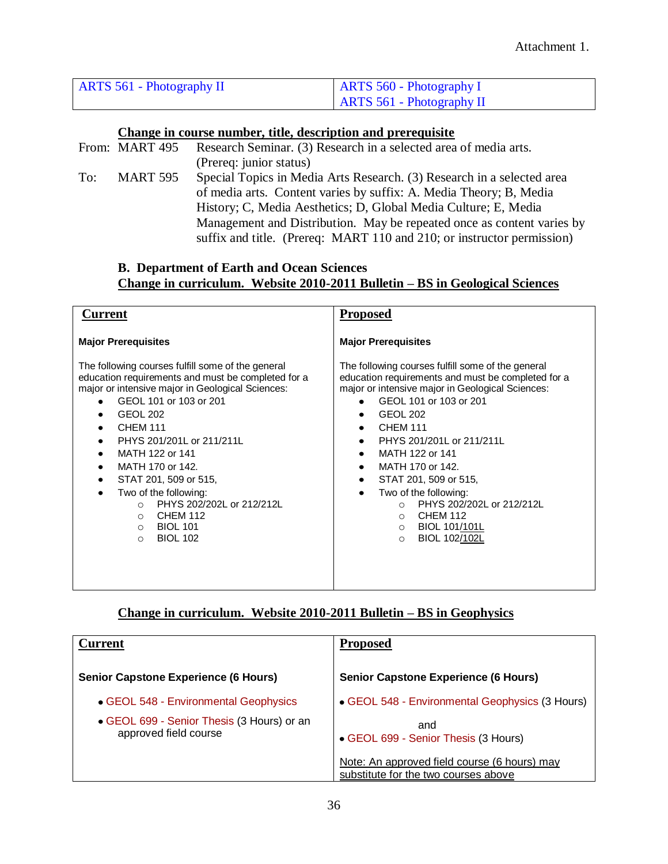| <b>ARTS 561 - Photography II</b> | $ARTS 560 - Photography I$  |  |
|----------------------------------|-----------------------------|--|
|                                  | $ARTS 561 - Photography II$ |  |

### **Change in course number, title, description and prerequisite**

|     | From: MART 495 | Research Seminar. (3) Research in a selected area of media arts.       |  |
|-----|----------------|------------------------------------------------------------------------|--|
|     |                | (Prereq: junior status)                                                |  |
| To: | MART 595       | Special Topics in Media Arts Research. (3) Research in a selected area |  |
|     |                | of media arts. Content varies by suffix: A. Media Theory; B, Media     |  |
|     |                | History; C, Media Aesthetics; D, Global Media Culture; E, Media        |  |
|     |                | Management and Distribution. May be repeated once as content varies by |  |
|     |                | suffix and title. (Prereq: MART 110 and 210; or instructor permission) |  |
|     |                |                                                                        |  |

### **B. Department of Earth and Ocean Sciences Change in curriculum. Website 2010-2011 Bulletin – BS in Geological Sciences**

| Current                                                                                                                                                                                                                                                                                                                                                                                                                                                                                                  | <b>Proposed</b>                                                                                                                                                                                                                                                                                                                                                                                                                                                                                           |
|----------------------------------------------------------------------------------------------------------------------------------------------------------------------------------------------------------------------------------------------------------------------------------------------------------------------------------------------------------------------------------------------------------------------------------------------------------------------------------------------------------|-----------------------------------------------------------------------------------------------------------------------------------------------------------------------------------------------------------------------------------------------------------------------------------------------------------------------------------------------------------------------------------------------------------------------------------------------------------------------------------------------------------|
| <b>Major Prerequisites</b>                                                                                                                                                                                                                                                                                                                                                                                                                                                                               | <b>Major Prerequisites</b>                                                                                                                                                                                                                                                                                                                                                                                                                                                                                |
| The following courses fulfill some of the general<br>education requirements and must be completed for a<br>major or intensive major in Geological Sciences:<br>GEOL 101 or 103 or 201<br><b>GEOL 202</b><br><b>CHEM 111</b><br>PHYS 201/201L or 211/211L<br>MATH 122 or 141<br>٠<br>MATH 170 or 142.<br>$\bullet$<br>STAT 201, 509 or 515,<br>Two of the following:<br>PHYS 202/202L or 212/212L<br>$\bigcirc$<br><b>CHEM 112</b><br>$\circ$<br><b>BIOL 101</b><br>$\circ$<br><b>BIOL 102</b><br>$\circ$ | The following courses fulfill some of the general<br>education requirements and must be completed for a<br>major or intensive major in Geological Sciences:<br>GEOL 101 or 103 or 201<br>٠<br><b>GEOL 202</b><br><b>CHEM 111</b><br>PHYS 201/201L or 211/211L<br>MATH 122 or 141<br>٠<br>MATH 170 or 142.<br>$\bullet$<br>STAT 201, 509 or 515,<br>Two of the following:<br>PHYS 202/202L or 212/212L<br>$\bigcirc$<br><b>CHEM 112</b><br>$\circ$<br>BIOL 101/101L<br>$\circ$<br>BIOL 102/102L<br>$\circ$ |

### **Change in curriculum. Website 2010-2011 Bulletin – BS in Geophysics**

| <b>Current</b>                                                      | <b>Proposed</b>                                                                      |
|---------------------------------------------------------------------|--------------------------------------------------------------------------------------|
| <b>Senior Capstone Experience (6 Hours)</b>                         | <b>Senior Capstone Experience (6 Hours)</b>                                          |
| • GEOL 548 - Environmental Geophysics                               | • GEOL 548 - Environmental Geophysics (3 Hours)                                      |
| • GEOL 699 - Senior Thesis (3 Hours) or an<br>approved field course | and<br>• GEOL 699 - Senior Thesis (3 Hours)                                          |
|                                                                     | Note: An approved field course (6 hours) may<br>substitute for the two courses above |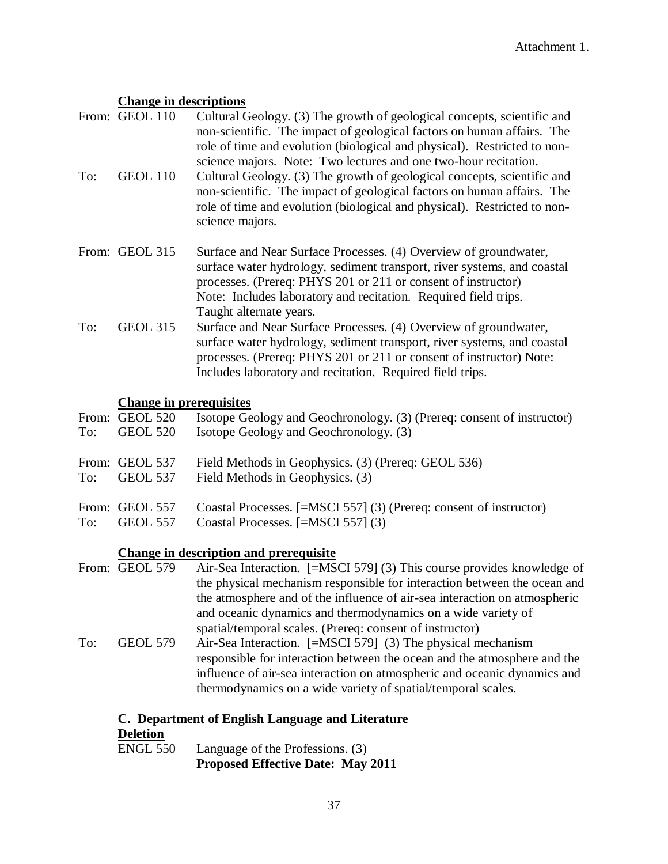### **Change in descriptions**

- From: GEOL 110 Cultural Geology. (3) The growth of geological concepts, scientific and non-scientific. The impact of geological factors on human affairs. The role of time and evolution (biological and physical). Restricted to nonscience majors. Note: Two lectures and one two-hour recitation. To: GEOL 110 Cultural Geology. (3) The growth of geological concepts, scientific and non-scientific. The impact of geological factors on human affairs. The role of time and evolution (biological and physical). Restricted to nonscience majors. From: GEOL 315 Surface and Near Surface Processes. (4) Overview of groundwater, surface water hydrology, sediment transport, river systems, and coastal processes. (Prereq: PHYS 201 or 211 or consent of instructor) Note: Includes laboratory and recitation. Required field trips.
- Taught alternate years. To: GEOL 315 Surface and Near Surface Processes. (4) Overview of groundwater, surface water hydrology, sediment transport, river systems, and coastal processes. (Prereq: PHYS 201 or 211 or consent of instructor) Note: Includes laboratory and recitation. Required field trips.

### **Change in prerequisites**

| To:   | From: GEOL 520<br><b>GEOL 520</b> | Isotope Geology and Geochronology. (3) (Prereq: consent of instructor)<br>Isotope Geology and Geochronology. (3) |
|-------|-----------------------------------|------------------------------------------------------------------------------------------------------------------|
| To: T | From: GEOL 537<br>GEOL 537        | Field Methods in Geophysics. (3) (Prereq: GEOL 536)<br>Field Methods in Geophysics. (3)                          |
| To:   | From: GEOL 557<br>GEOL 557        | Coastal Processes. [=MSCI 557] (3) (Prereq: consent of instructor)<br>Coastal Processes. [=MSCI 557] (3)         |

### **Change in description and prerequisite**

From: GEOL 579 Air-Sea Interaction. [=MSCI 579] (3) This course provides knowledge of the physical mechanism responsible for interaction between the ocean and the atmosphere and of the influence of air-sea interaction on atmospheric and oceanic dynamics and thermodynamics on a wide variety of spatial/temporal scales. (Prereq: consent of instructor) To: GEOL 579 Air-Sea Interaction. [=MSCI 579] (3) The physical mechanism responsible for interaction between the ocean and the atmosphere and the influence of air-sea interaction on atmospheric and oceanic dynamics and thermodynamics on a wide variety of spatial/temporal scales.

### **C. Department of English Language and Literature**

### **Deletion**

ENGL 550 Language of the Professions. (3) **Proposed Effective Date: May 2011**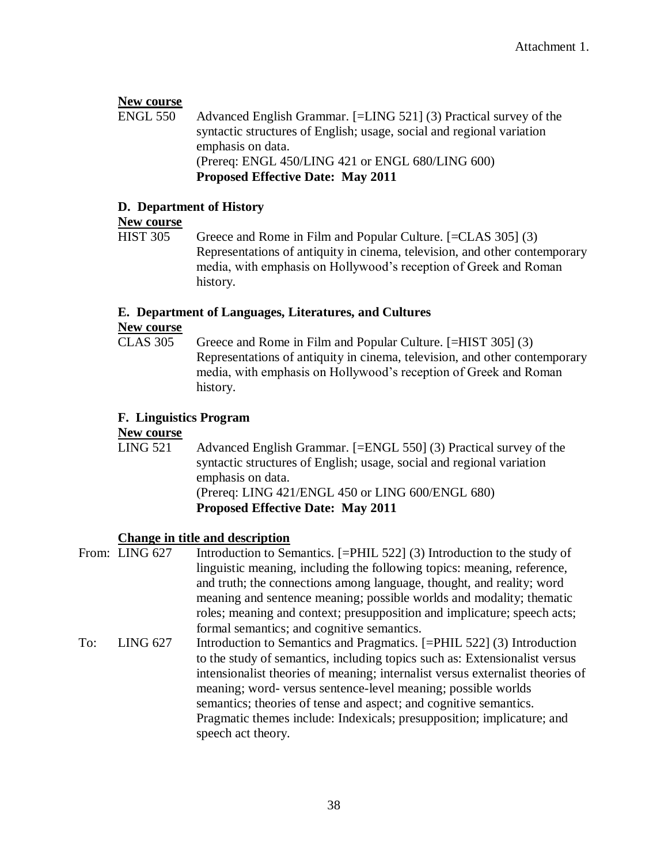### **New course**

ENGL 550 Advanced English Grammar. [=LING 521] (3) Practical survey of the syntactic structures of English; usage, social and regional variation emphasis on data. (Prereq: ENGL 450/LING 421 or ENGL 680/LING 600) **Proposed Effective Date: May 2011**

### **D. Department of History**

# **New course**<br>HIST 305

Greece and Rome in Film and Popular Culture. [=CLAS 305] (3) Representations of antiquity in cinema, television, and other contemporary media, with emphasis on Hollywood's reception of Greek and Roman history.

### **E. Department of Languages, Literatures, and Cultures**

### **New course**

CLAS 305 Greece and Rome in Film and Popular Culture. [=HIST 305] (3) Representations of antiquity in cinema, television, and other contemporary media, with emphasis on Hollywood's reception of Greek and Roman history.

### **F. Linguistics Program**

### **New course**

LING 521 Advanced English Grammar. [=ENGL 550] (3) Practical survey of the syntactic structures of English; usage, social and regional variation emphasis on data. (Prereq: LING 421/ENGL 450 or LING 600/ENGL 680) **Proposed Effective Date: May 2011**

### **Change in title and description**

|     | From: LING 627  | Introduction to Semantics. [=PHIL 522] (3) Introduction to the study of<br>linguistic meaning, including the following topics: meaning, reference,<br>and truth; the connections among language, thought, and reality; word<br>meaning and sentence meaning; possible worlds and modality; the matic                                                                                                                                                                         |
|-----|-----------------|------------------------------------------------------------------------------------------------------------------------------------------------------------------------------------------------------------------------------------------------------------------------------------------------------------------------------------------------------------------------------------------------------------------------------------------------------------------------------|
|     |                 | roles; meaning and context; presupposition and implicature; speech acts;<br>formal semantics; and cognitive semantics.                                                                                                                                                                                                                                                                                                                                                       |
| To: | <b>LING 627</b> | Introduction to Semantics and Pragmatics. [=PHIL 522] (3) Introduction<br>to the study of semantics, including topics such as: Extensionalist versus<br>intensionalist theories of meaning; internalist versus externalist theories of<br>meaning; word- versus sentence-level meaning; possible worlds<br>semantics; theories of tense and aspect; and cognitive semantics.<br>Pragmatic themes include: Indexicals; presupposition; implicature; and<br>speech act theory. |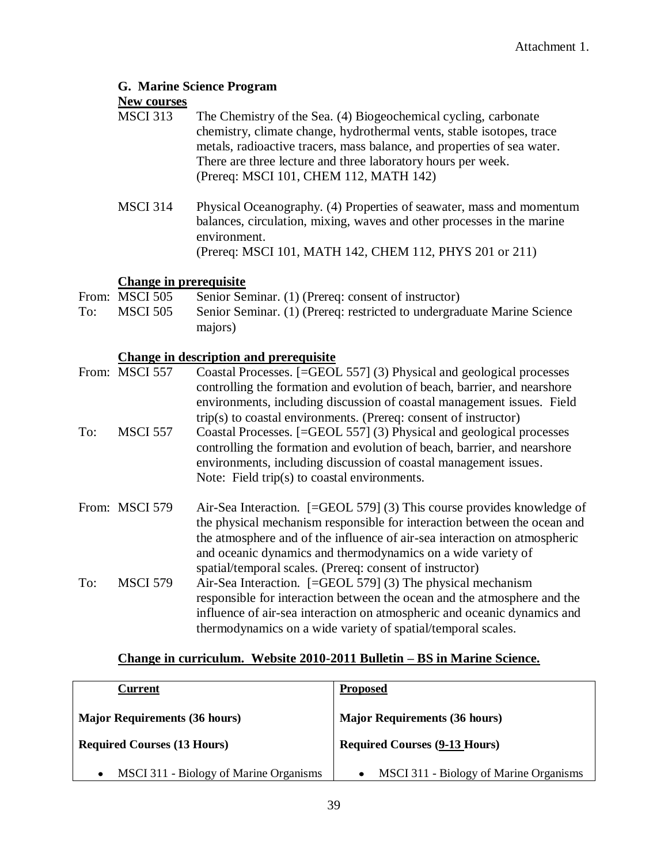### **G. Marine Science Program**

# **New courses**<br>MSCI 313

- The Chemistry of the Sea. (4) Biogeochemical cycling, carbonate chemistry, climate change, hydrothermal vents, stable isotopes, trace metals, radioactive tracers, mass balance, and properties of sea water. There are three lecture and three laboratory hours per week. (Prereq: MSCI 101, CHEM 112, MATH 142)
- MSCI 314 Physical Oceanography. (4) Properties of seawater, mass and momentum balances, circulation, mixing, waves and other processes in the marine environment. (Prereq: MSCI 101, MATH 142, CHEM 112, PHYS 201 or 211)

### **Change in prerequisite**

From: MSCI 505 Senior Seminar. (1) (Prereq: consent of instructor) To: MSCI 505 Senior Seminar. (1) (Prereq: restricted to undergraduate Marine Science majors)

### **Change in description and prerequisite**

|     | From: MSCI 557  | Coastal Processes. [=GEOL 557] (3) Physical and geological processes             |
|-----|-----------------|----------------------------------------------------------------------------------|
|     |                 | controlling the formation and evolution of beach, barrier, and nearshore         |
|     |                 | environments, including discussion of coastal management issues. Field           |
|     |                 | trip(s) to coastal environments. (Prereq: consent of instructor)                 |
| To: | <b>MSCI 557</b> | Coastal Processes. [=GEOL 557] (3) Physical and geological processes             |
|     |                 | controlling the formation and evolution of beach, barrier, and nearshore         |
|     |                 | environments, including discussion of coastal management issues.                 |
|     |                 | Note: Field trip(s) to coastal environments.                                     |
|     | From: MSCI 579  | Air-Sea Interaction. $[=\text{GEOL } 579]$ (3) This course provides knowledge of |
|     |                 | the physical mechanism responsible for interaction between the ocean and         |
|     |                 | the atmosphere and of the influence of air-sea interaction on atmospheric        |
|     |                 | and oceanic dynamics and thermodynamics on a wide variety of                     |
|     |                 | spatial/temporal scales. (Prereq: consent of instructor)                         |
| To: | <b>MSCI 579</b> | Air-Sea Interaction. $[=\text{GEOL } 579]$ (3) The physical mechanism            |
|     |                 | responsible for interaction between the ocean and the atmosphere and the         |
|     |                 | influence of air-sea interaction on atmospheric and oceanic dynamics and         |
|     |                 | thermodynamics on a wide variety of spatial/temporal scales.                     |

### **Change in curriculum. Website 2010-2011 Bulletin – BS in Marine Science.**

| Current                                | <b>Proposed</b>                        |
|----------------------------------------|----------------------------------------|
| <b>Major Requirements (36 hours)</b>   | <b>Major Requirements (36 hours)</b>   |
| <b>Required Courses (13 Hours)</b>     | <b>Required Courses (9-13 Hours)</b>   |
| MSCI 311 - Biology of Marine Organisms | MSCI 311 - Biology of Marine Organisms |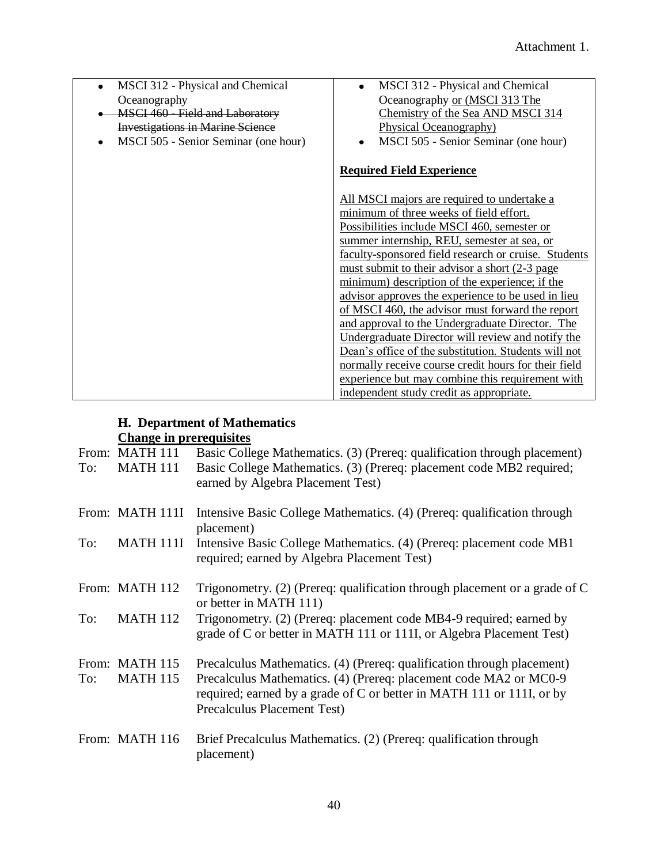| MSCI 312 - Physical and Chemical<br>$\bullet$ | MSCI 312 - Physical and Chemical<br>$\bullet$        |
|-----------------------------------------------|------------------------------------------------------|
| Oceanography                                  | Oceanography or (MSCI 313 The                        |
| MSCI 460 - Field and Laboratory               | Chemistry of the Sea AND MSCI 314                    |
| <b>Investigations in Marine Science</b>       | Physical Oceanography)                               |
| MSCI 505 - Senior Seminar (one hour)<br>٠     | MSCI 505 - Senior Seminar (one hour)                 |
|                                               |                                                      |
|                                               | <b>Required Field Experience</b>                     |
|                                               | All MSCI majors are required to undertake a          |
|                                               | minimum of three weeks of field effort.              |
|                                               | Possibilities include MSCI 460, semester or          |
|                                               | summer internship, REU, semester at sea, or          |
|                                               | faculty-sponsored field research or cruise. Students |
|                                               | must submit to their advisor a short (2-3 page       |
|                                               | minimum) description of the experience; if the       |
|                                               | advisor approves the experience to be used in lieu   |
|                                               | of MSCI 460, the advisor must forward the report     |
|                                               | and approval to the Undergraduate Director. The      |
|                                               | Undergraduate Director will review and notify the    |
|                                               | Dean's office of the substitution. Students will not |
|                                               | normally receive course credit hours for their field |
|                                               | experience but may combine this requirement with     |
|                                               | independent study credit as appropriate.             |

### **H. Department of Mathematics Change in prerequisites**

| To: | From: MATH 111<br><b>MATH 111</b> | Basic College Mathematics. (3) (Prereq: qualification through placement)<br>Basic College Mathematics. (3) (Prereq: placement code MB2 required;<br>earned by Algebra Placement Test)                                                               |
|-----|-----------------------------------|-----------------------------------------------------------------------------------------------------------------------------------------------------------------------------------------------------------------------------------------------------|
|     | From: MATH 111I                   | Intensive Basic College Mathematics. (4) (Prereq: qualification through<br>placement)                                                                                                                                                               |
| To: | <b>MATH 111I</b>                  | Intensive Basic College Mathematics. (4) (Prereq: placement code MB1<br>required; earned by Algebra Placement Test)                                                                                                                                 |
|     | From: MATH 112                    | Trigonometry. (2) (Prereq: qualification through placement or a grade of C<br>or better in MATH 111)                                                                                                                                                |
| To: | <b>MATH 112</b>                   | Trigonometry. (2) (Prereq: placement code MB4-9 required; earned by<br>grade of C or better in MATH 111 or 111I, or Algebra Placement Test)                                                                                                         |
| To: | From: MATH 115<br><b>MATH 115</b> | Precalculus Mathematics. (4) (Prereq: qualification through placement)<br>Precalculus Mathematics. (4) (Prereq: placement code MA2 or MC0-9<br>required; earned by a grade of C or better in MATH 111 or 111I, or by<br>Precalculus Placement Test) |
|     | From: MATH 116                    | Brief Precalculus Mathematics. (2) (Prereq: qualification through<br>placement)                                                                                                                                                                     |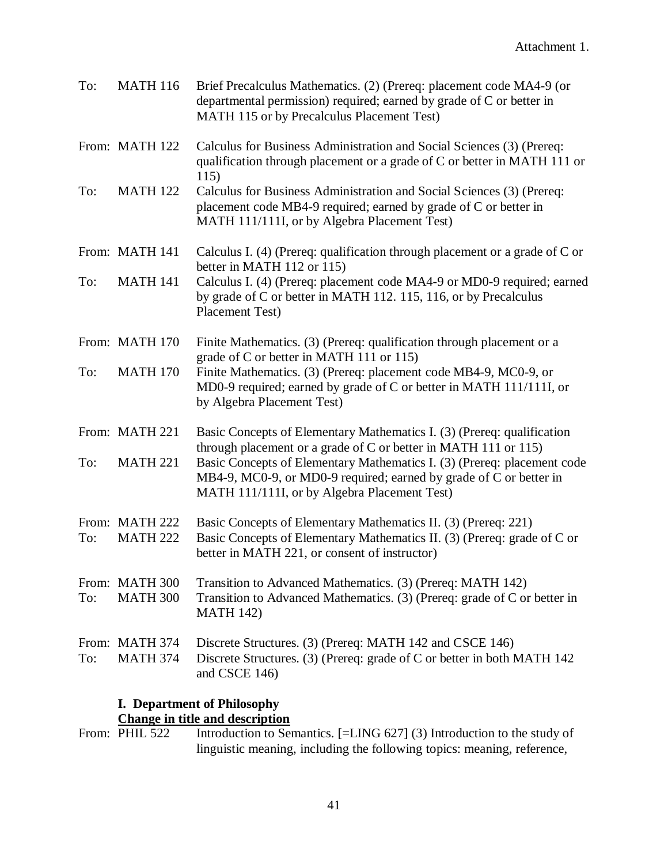| To: | <b>MATH 116</b>                   | Brief Precalculus Mathematics. (2) (Prereq: placement code MA4-9 (or<br>departmental permission) required; earned by grade of C or better in<br>MATH 115 or by Precalculus Placement Test)    |  |
|-----|-----------------------------------|-----------------------------------------------------------------------------------------------------------------------------------------------------------------------------------------------|--|
|     | From: MATH 122                    | Calculus for Business Administration and Social Sciences (3) (Prereq:<br>qualification through placement or a grade of C or better in MATH 111 or<br>115)                                     |  |
| To: | <b>MATH 122</b>                   | Calculus for Business Administration and Social Sciences (3) (Prereq:<br>placement code MB4-9 required; earned by grade of C or better in<br>MATH 111/111I, or by Algebra Placement Test)     |  |
|     | From: MATH 141                    | Calculus I. $(4)$ (Prereq: qualification through placement or a grade of C or<br>better in MATH 112 or 115)                                                                                   |  |
| To: | <b>MATH 141</b>                   | Calculus I. (4) (Prereq: placement code MA4-9 or MD0-9 required; earned<br>by grade of C or better in MATH 112. 115, 116, or by Precalculus<br>Placement Test)                                |  |
|     | From: MATH 170                    | Finite Mathematics. (3) (Prereq: qualification through placement or a<br>grade of C or better in MATH 111 or 115)                                                                             |  |
| To: | <b>MATH 170</b>                   | Finite Mathematics. (3) (Prereq: placement code MB4-9, MC0-9, or<br>MD0-9 required; earned by grade of C or better in MATH 111/111I, or<br>by Algebra Placement Test)                         |  |
|     | From: MATH 221                    | Basic Concepts of Elementary Mathematics I. (3) (Prereq: qualification<br>through placement or a grade of C or better in MATH 111 or 115)                                                     |  |
| To: | <b>MATH 221</b>                   | Basic Concepts of Elementary Mathematics I. (3) (Prereq: placement code<br>MB4-9, MC0-9, or MD0-9 required; earned by grade of C or better in<br>MATH 111/111I, or by Algebra Placement Test) |  |
| To: | From: MATH 222<br><b>MATH 222</b> | Basic Concepts of Elementary Mathematics II. (3) (Prereq: 221)<br>Basic Concepts of Elementary Mathematics II. (3) (Prereq: grade of C or<br>better in MATH 221, or consent of instructor)    |  |
| To: | From: MATH 300<br><b>MATH 300</b> | Transition to Advanced Mathematics. (3) (Prereq: MATH 142)<br>Transition to Advanced Mathematics. (3) (Prereq: grade of C or better in<br><b>MATH 142)</b>                                    |  |
| To: | From: MATH 374<br><b>MATH 374</b> | Discrete Structures. (3) (Prereq: MATH 142 and CSCE 146)<br>Discrete Structures. (3) (Prereq: grade of C or better in both MATH 142<br>and CSCE 146)                                          |  |

### **I. Department of Philosophy**

**Change in title and description**<br>From: PHIL 522 Introduction to Ser Introduction to Semantics. [=LING 627] (3) Introduction to the study of linguistic meaning, including the following topics: meaning, reference,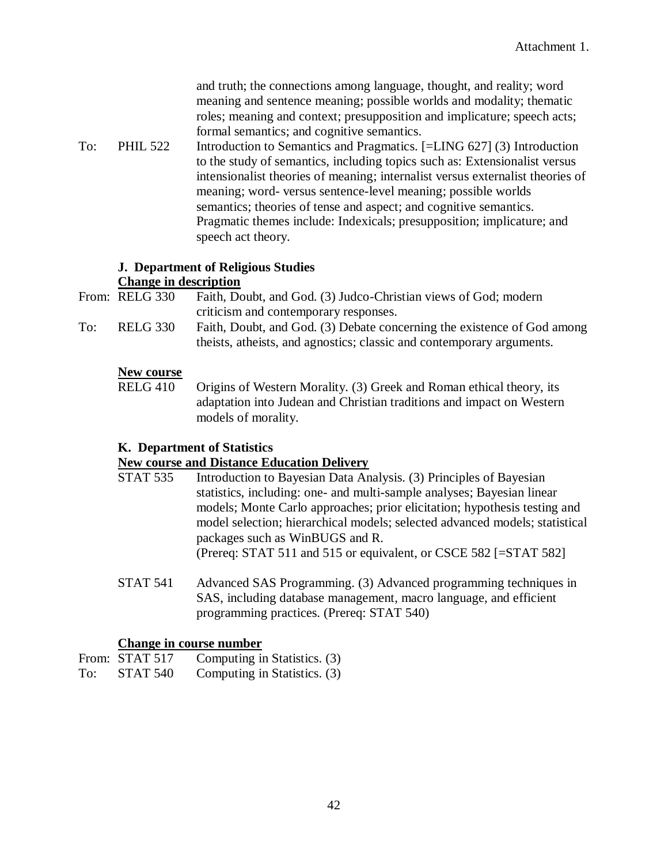and truth; the connections among language, thought, and reality; word meaning and sentence meaning; possible worlds and modality; thematic roles; meaning and context; presupposition and implicature; speech acts; formal semantics; and cognitive semantics.

To: PHIL 522 Introduction to Semantics and Pragmatics. [=LING 627] (3) Introduction to the study of semantics, including topics such as: Extensionalist versus intensionalist theories of meaning; internalist versus externalist theories of meaning; word- versus sentence-level meaning; possible worlds semantics; theories of tense and aspect; and cognitive semantics. Pragmatic themes include: Indexicals; presupposition; implicature; and speech act theory.

### **J. Department of Religious Studies Change in description**

From: RELG 330 Faith, Doubt, and God. (3) Judco-Christian views of God; modern criticism and contemporary responses.

To: RELG 330 Faith, Doubt, and God. (3) Debate concerning the existence of God among theists, atheists, and agnostics; classic and contemporary arguments.

### **New course**

RELG 410 Origins of Western Morality. (3) Greek and Roman ethical theory, its adaptation into Judean and Christian traditions and impact on Western models of morality.

### **K. Department of Statistics**

### **New course and Distance Education Delivery**

- STAT 535 Introduction to Bayesian Data Analysis. (3) Principles of Bayesian statistics, including: one- and multi-sample analyses; Bayesian linear models; Monte Carlo approaches; prior elicitation; hypothesis testing and model selection; hierarchical models; selected advanced models; statistical packages such as WinBUGS and R. (Prereq: STAT 511 and 515 or equivalent, or CSCE 582 [=STAT 582]
- STAT 541 Advanced SAS Programming. (3) Advanced programming techniques in SAS, including database management, macro language, and efficient programming practices. (Prereq: STAT 540)

### **Change in course number**

|     | From: STAT 517 | Computing in Statistics. (3) |
|-----|----------------|------------------------------|
| To: | STAT 540       | Computing in Statistics. (3) |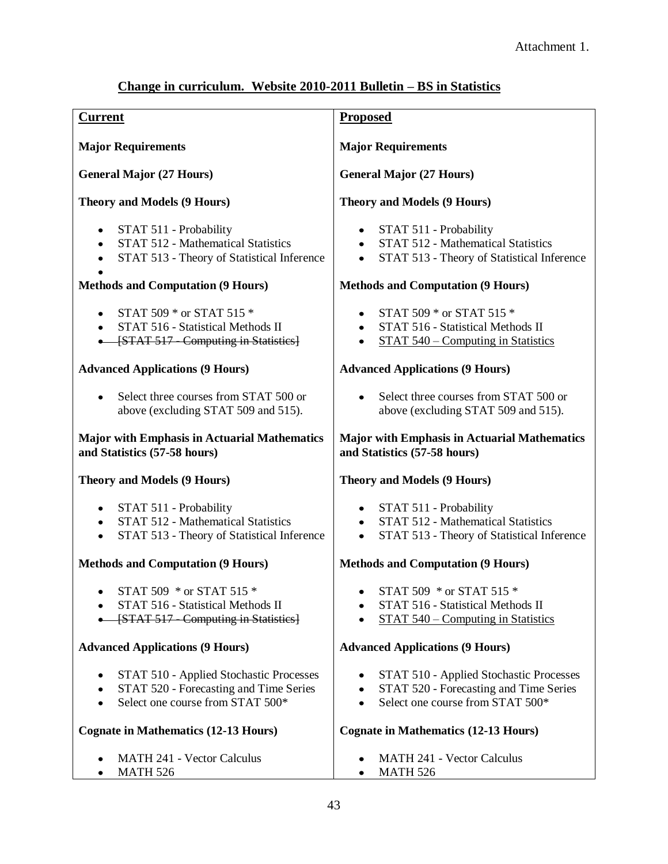### **Change in curriculum. Website 2010-2011 Bulletin – BS in Statistics**

| <b>Current</b>                                                                                                                       | <b>Proposed</b>                                                                                                                                 |
|--------------------------------------------------------------------------------------------------------------------------------------|-------------------------------------------------------------------------------------------------------------------------------------------------|
| <b>Major Requirements</b>                                                                                                            | <b>Major Requirements</b>                                                                                                                       |
| <b>General Major (27 Hours)</b>                                                                                                      | <b>General Major (27 Hours)</b>                                                                                                                 |
| <b>Theory and Models (9 Hours)</b>                                                                                                   | <b>Theory and Models (9 Hours)</b>                                                                                                              |
| STAT 511 - Probability<br>STAT 512 - Mathematical Statistics<br>$\bullet$<br>STAT 513 - Theory of Statistical Inference<br>$\bullet$ | STAT 511 - Probability<br>STAT 512 - Mathematical Statistics<br>$\bullet$<br>STAT 513 - Theory of Statistical Inference<br>$\bullet$            |
| <b>Methods and Computation (9 Hours)</b>                                                                                             | <b>Methods and Computation (9 Hours)</b>                                                                                                        |
| STAT 509 * or STAT 515 *<br>$\bullet$<br>STAT 516 - Statistical Methods II<br>$\bullet$<br>-[STAT 517 - Computing in Statistics]     | STAT 509 * or STAT 515 *<br>STAT 516 - Statistical Methods II<br>$\bullet$<br>STAT 540 – Computing in Statistics                                |
| <b>Advanced Applications (9 Hours)</b>                                                                                               | <b>Advanced Applications (9 Hours)</b>                                                                                                          |
| Select three courses from STAT 500 or<br>above (excluding STAT 509 and 515).                                                         | Select three courses from STAT 500 or<br>$\bullet$<br>above (excluding STAT 509 and 515).                                                       |
| <b>Major with Emphasis in Actuarial Mathematics</b><br>and Statistics (57-58 hours)                                                  | <b>Major with Emphasis in Actuarial Mathematics</b><br>and Statistics (57-58 hours)                                                             |
| <b>Theory and Models (9 Hours)</b>                                                                                                   | <b>Theory and Models (9 Hours)</b>                                                                                                              |
| STAT 511 - Probability<br>STAT 512 - Mathematical Statistics<br>$\bullet$<br>STAT 513 - Theory of Statistical Inference<br>$\bullet$ | STAT 511 - Probability<br>STAT 512 - Mathematical Statistics<br>$\bullet$<br>STAT 513 - Theory of Statistical Inference<br>$\bullet$            |
| <b>Methods and Computation (9 Hours)</b>                                                                                             | <b>Methods and Computation (9 Hours)</b>                                                                                                        |
| STAT 509 * or STAT 515 *<br>STAT 516 - Statistical Methods II<br>[STAT 517 - Computing in Statistics]                                | • STAT 509 $*$ or STAT 515 $*$<br>STAT 516 - Statistical Methods II<br>٠<br>STAT 540 – Computing in Statistics                                  |
| <b>Advanced Applications (9 Hours)</b>                                                                                               | <b>Advanced Applications (9 Hours)</b>                                                                                                          |
| STAT 510 - Applied Stochastic Processes<br>STAT 520 - Forecasting and Time Series<br>٠<br>Select one course from STAT 500*           | STAT 510 - Applied Stochastic Processes<br>STAT 520 - Forecasting and Time Series<br>$\bullet$<br>Select one course from STAT 500*<br>$\bullet$ |
| <b>Cognate in Mathematics (12-13 Hours)</b>                                                                                          | <b>Cognate in Mathematics (12-13 Hours)</b>                                                                                                     |
| MATH 241 - Vector Calculus<br><b>MATH 526</b>                                                                                        | <b>MATH 241 - Vector Calculus</b><br><b>MATH 526</b>                                                                                            |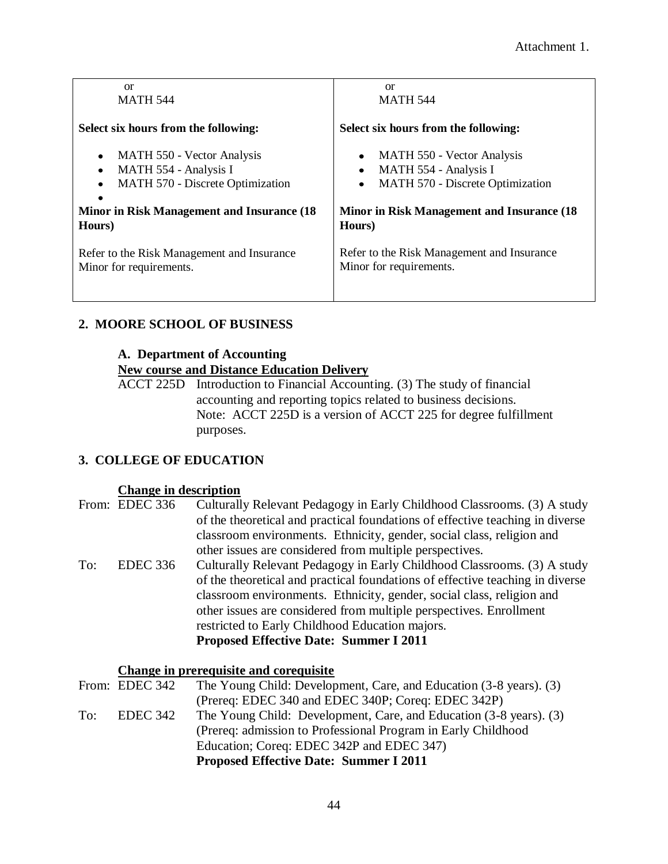| <sub>or</sub>                              | <sub>or</sub>                               |
|--------------------------------------------|---------------------------------------------|
| <b>MATH 544</b>                            | <b>MATH 544</b>                             |
| Select six hours from the following:       | Select six hours from the following:        |
| MATH 550 - Vector Analysis                 | MATH 550 - Vector Analysis                  |
| $\bullet$                                  | $\bullet$                                   |
| MATH 554 - Analysis I                      | MATH 554 - Analysis I                       |
| $\bullet$                                  | $\bullet$                                   |
| <b>MATH 570 - Discrete Optimization</b>    | <b>MATH 570 - Discrete Optimization</b>     |
| $\bullet$                                  | $\bullet$                                   |
| Minor in Risk Management and Insurance (18 | Minor in Risk Management and Insurance (18) |
| Hours)                                     | Hours)                                      |
| Refer to the Risk Management and Insurance | Refer to the Risk Management and Insurance  |
| Minor for requirements.                    | Minor for requirements.                     |

### **2. MOORE SCHOOL OF BUSINESS**

### **A. Department of Accounting**

### **New course and Distance Education Delivery**

ACCT 225D Introduction to Financial Accounting. (3) The study of financial accounting and reporting topics related to business decisions. Note: ACCT 225D is a version of ACCT 225 for degree fulfillment purposes.

### **3. COLLEGE OF EDUCATION**

### **Change in description**

|     | From: EDEC 336  | Culturally Relevant Pedagogy in Early Childhood Classrooms. (3) A study       |
|-----|-----------------|-------------------------------------------------------------------------------|
|     |                 | of the theoretical and practical foundations of effective teaching in diverse |
|     |                 | classroom environments. Ethnicity, gender, social class, religion and         |
|     |                 | other issues are considered from multiple perspectives.                       |
| To: | <b>EDEC</b> 336 | Culturally Relevant Pedagogy in Early Childhood Classrooms. (3) A study       |
|     |                 | of the theoretical and practical foundations of effective teaching in diverse |
|     |                 | classroom environments. Ethnicity, gender, social class, religion and         |
|     |                 | other issues are considered from multiple perspectives. Enrollment            |
|     |                 | restricted to Early Childhood Education majors.                               |
|     |                 | <b>Proposed Effective Date: Summer I 2011</b>                                 |
|     |                 |                                                                               |

### **Change in prerequisite and corequisite**

|     |                | <b>Proposed Effective Date: Summer I 2011</b>                      |
|-----|----------------|--------------------------------------------------------------------|
|     |                | Education; Coreq: EDEC 342P and EDEC 347)                          |
|     |                | (Prereq: admission to Professional Program in Early Childhood)     |
| To: | EDEC 342       | The Young Child: Development, Care, and Education (3-8 years). (3) |
|     |                | (Prereq: EDEC 340 and EDEC 340P; Coreq: EDEC 342P)                 |
|     | From: EDEC 342 | The Young Child: Development, Care, and Education (3-8 years). (3) |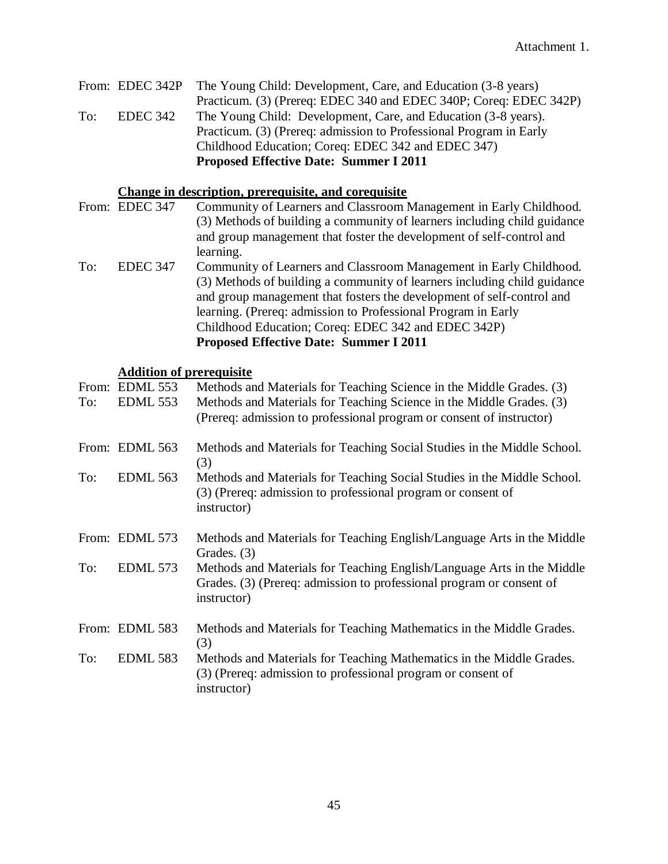|     |          | From: EDEC 342P The Young Child: Development, Care, and Education (3-8 years) |
|-----|----------|-------------------------------------------------------------------------------|
|     |          | Practicum. (3) (Prereq: EDEC 340 and EDEC 340P; Coreq: EDEC 342P)             |
| To: | EDEC 342 | The Young Child: Development, Care, and Education (3-8 years).                |
|     |          | Practicum. (3) (Prereq: admission to Professional Program in Early            |
|     |          | Childhood Education; Coreq: EDEC 342 and EDEC 347)                            |
|     |          | <b>Proposed Effective Date: Summer I 2011</b>                                 |

### **Change in description, prerequisite, and corequisite**

|     | From: EDEC 347  | Community of Learners and Classroom Management in Early Childhood.       |
|-----|-----------------|--------------------------------------------------------------------------|
|     |                 | (3) Methods of building a community of learners including child guidance |
|     |                 | and group management that foster the development of self-control and     |
|     |                 | learning.                                                                |
| To: | <b>EDEC 347</b> | Community of Learners and Classroom Management in Early Childhood.       |
|     |                 | (3) Methods of building a community of learners including child guidance |
|     |                 | and group management that fosters the development of self-control and    |
|     |                 | learning. (Prereq: admission to Professional Program in Early            |
|     |                 | Childhood Education; Coreq: EDEC 342 and EDEC 342P)                      |
|     |                 | <b>Proposed Effective Date: Summer I 2011</b>                            |

### **Addition of prerequisite**

| To: | From: EDML 553<br><b>EDML 553</b> | Methods and Materials for Teaching Science in the Middle Grades. (3)<br>Methods and Materials for Teaching Science in the Middle Grades. (3)<br>(Prereq: admission to professional program or consent of instructor) |
|-----|-----------------------------------|----------------------------------------------------------------------------------------------------------------------------------------------------------------------------------------------------------------------|
|     | From: EDML 563                    | Methods and Materials for Teaching Social Studies in the Middle School.<br>(3)                                                                                                                                       |
| To: | EDML 563                          | Methods and Materials for Teaching Social Studies in the Middle School.<br>(3) (Prereq: admission to professional program or consent of<br>instructor)                                                               |
|     | From: EDML 573                    | Methods and Materials for Teaching English/Language Arts in the Middle<br>Grades. (3)                                                                                                                                |
| To: | EDML 573                          | Methods and Materials for Teaching English/Language Arts in the Middle<br>Grades. (3) (Prereq: admission to professional program or consent of<br>instructor)                                                        |
|     | From: EDML 583                    | Methods and Materials for Teaching Mathematics in the Middle Grades.<br>(3)                                                                                                                                          |
| To: | <b>EDML 583</b>                   | Methods and Materials for Teaching Mathematics in the Middle Grades.<br>(3) (Prereq: admission to professional program or consent of<br>instructor)                                                                  |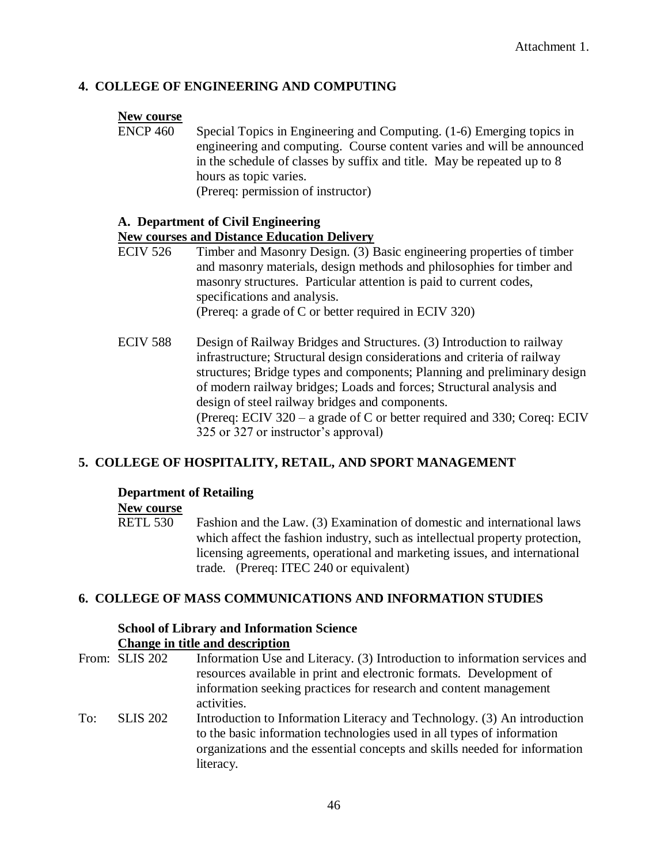### **4. COLLEGE OF ENGINEERING AND COMPUTING**

#### **New course**

ENCP 460 Special Topics in Engineering and Computing. (1-6) Emerging topics in engineering and computing. Course content varies and will be announced in the schedule of classes by suffix and title. May be repeated up to 8 hours as topic varies. (Prereq: permission of instructor)

#### **A. Department of Civil Engineering**

### **New courses and Distance Education Delivery**

- ECIV 526 Timber and Masonry Design. (3) Basic engineering properties of timber and masonry materials, design methods and philosophies for timber and masonry structures. Particular attention is paid to current codes, specifications and analysis. (Prereq: a grade of C or better required in ECIV 320)
- ECIV 588 Design of Railway Bridges and Structures. (3) Introduction to railway infrastructure; Structural design considerations and criteria of railway structures; Bridge types and components; Planning and preliminary design of modern railway bridges; Loads and forces; Structural analysis and design of steel railway bridges and components. (Prereq: ECIV 320 – a grade of C or better required and 330; Coreq: ECIV 325 or 327 or instructor's approval)

### **5. COLLEGE OF HOSPITALITY, RETAIL, AND SPORT MANAGEMENT**

#### **Department of Retailing**

#### **New course**

RETL 530 Fashion and the Law. (3) Examination of domestic and international laws which affect the fashion industry, such as intellectual property protection, licensing agreements, operational and marketing issues, and international trade. (Prereq: ITEC 240 or equivalent)

### **6. COLLEGE OF MASS COMMUNICATIONS AND INFORMATION STUDIES**

#### **School of Library and Information Science Change in title and description**

| Change in this and assemption |                                                                                                                                                                                                                                               |
|-------------------------------|-----------------------------------------------------------------------------------------------------------------------------------------------------------------------------------------------------------------------------------------------|
|                               | Information Use and Literacy. (3) Introduction to information services and<br>resources available in print and electronic formats. Development of<br>information seeking practices for research and content management                        |
|                               | activities.                                                                                                                                                                                                                                   |
| <b>SLIS 202</b>               | Introduction to Information Literacy and Technology. (3) An introduction<br>to the basic information technologies used in all types of information<br>organizations and the essential concepts and skills needed for information<br>literacy. |
|                               | From: SLIS 202                                                                                                                                                                                                                                |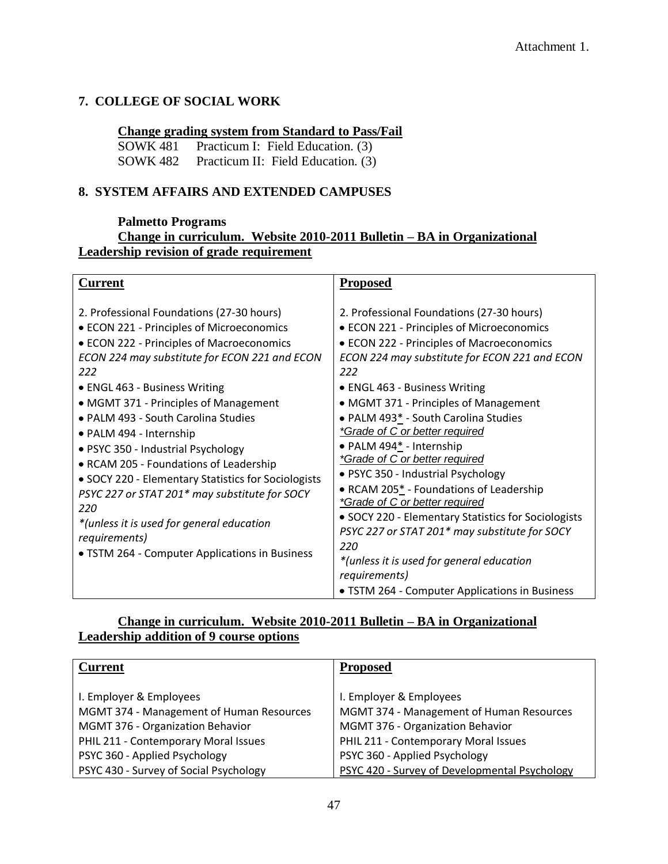### **7. COLLEGE OF SOCIAL WORK**

### **Change grading system from Standard to Pass/Fail**

SOWK 481 Practicum I: Field Education. (3) SOWK 482 Practicum II: Field Education. (3)

### **8. SYSTEM AFFAIRS AND EXTENDED CAMPUSES**

### **Palmetto Programs**

### **Change in curriculum. Website 2010-2011 Bulletin – BA in Organizational Leadership revision of grade requirement**

### **Change in curriculum. Website 2010-2011 Bulletin – BA in Organizational Leadership addition of 9 course options**

| <b>Current</b>                           | <b>Proposed</b>                               |
|------------------------------------------|-----------------------------------------------|
|                                          |                                               |
| I. Employer & Employees                  | I. Employer & Employees                       |
| MGMT 374 - Management of Human Resources | MGMT 374 - Management of Human Resources      |
| MGMT 376 - Organization Behavior         | MGMT 376 - Organization Behavior              |
| PHIL 211 - Contemporary Moral Issues     | PHIL 211 - Contemporary Moral Issues          |
| PSYC 360 - Applied Psychology            | PSYC 360 - Applied Psychology                 |
| PSYC 430 - Survey of Social Psychology   | PSYC 420 - Survey of Developmental Psychology |